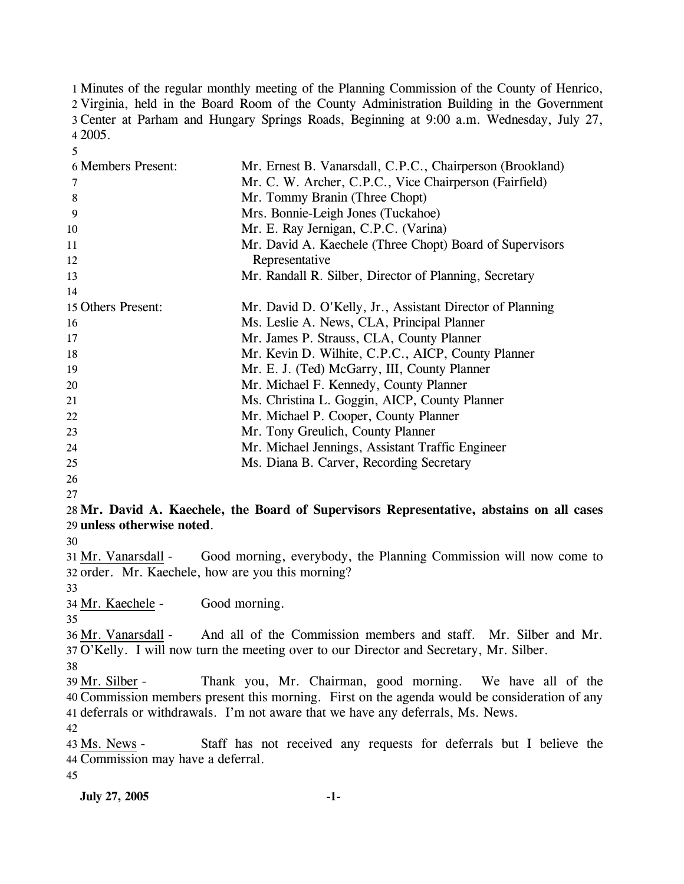Minutes of the regular monthly meeting of the Planning Commission of the County of Henrico, Virginia, held in the Board Room of the County Administration Building in the Government Center at Parham and Hungary Springs Roads, Beginning at 9:00 a.m. Wednesday, July 27, 4 2005.

| 6 Members Present:         | Mr. Ernest B. Vanarsdall, C.P.C., Chairperson (Brookland)                                     |
|----------------------------|-----------------------------------------------------------------------------------------------|
| 7                          | Mr. C. W. Archer, C.P.C., Vice Chairperson (Fairfield)                                        |
| 8                          | Mr. Tommy Branin (Three Chopt)                                                                |
| 9                          | Mrs. Bonnie-Leigh Jones (Tuckahoe)                                                            |
| 10                         | Mr. E. Ray Jernigan, C.P.C. (Varina)                                                          |
| 11                         | Mr. David A. Kaechele (Three Chopt) Board of Supervisors                                      |
| 12                         | Representative                                                                                |
| 13                         | Mr. Randall R. Silber, Director of Planning, Secretary                                        |
| 14                         |                                                                                               |
| 15 Others Present:         | Mr. David D. O'Kelly, Jr., Assistant Director of Planning                                     |
| 16                         | Ms. Leslie A. News, CLA, Principal Planner                                                    |
| 17                         | Mr. James P. Strauss, CLA, County Planner                                                     |
| 18                         | Mr. Kevin D. Wilhite, C.P.C., AICP, County Planner                                            |
| 19                         | Mr. E. J. (Ted) McGarry, III, County Planner                                                  |
| 20                         | Mr. Michael F. Kennedy, County Planner                                                        |
| 21                         | Ms. Christina L. Goggin, AICP, County Planner                                                 |
| 22                         | Mr. Michael P. Cooper, County Planner                                                         |
| 23                         | Mr. Tony Greulich, County Planner                                                             |
| 24                         | Mr. Michael Jennings, Assistant Traffic Engineer                                              |
| 25                         | Ms. Diana B. Carver, Recording Secretary                                                      |
| 26                         |                                                                                               |
| 27                         |                                                                                               |
|                            | 28 Mr. David A. Kaechele, the Board of Supervisors Representative, abstains on all cases      |
| 29 unless otherwise noted. |                                                                                               |
| 30                         |                                                                                               |
| 31 Mr. Vanarsdall -        | Good morning, everybody, the Planning Commission will now come to                             |
|                            | 32 order. Mr. Kaechele, how are you this morning?                                             |
| 33                         |                                                                                               |
| 34 Mr. Kaechele -          | Good morning.                                                                                 |
| 35                         |                                                                                               |
| 36 Mr. Vanarsdall -        | And all of the Commission members and staff. Mr. Silber and Mr.                               |
|                            | 37 O'Kelly. I will now turn the meeting over to our Director and Secretary, Mr. Silber.       |
| 38                         |                                                                                               |
| 39 Mr. Silber -            | Thank you, Mr. Chairman, good morning. We have all of the                                     |
|                            | 40 Commission members present this morning. First on the agenda would be consideration of any |
|                            | 41 deferrals or withdrawals. I'm not aware that we have any deferrals, Ms. News.              |
| 42                         |                                                                                               |
| 43 Ms. News -              | Staff has not received any requests for deferrals but I believe the                           |

Commission may have a deferral. 44

45

5

**July 27, 2005 -1-**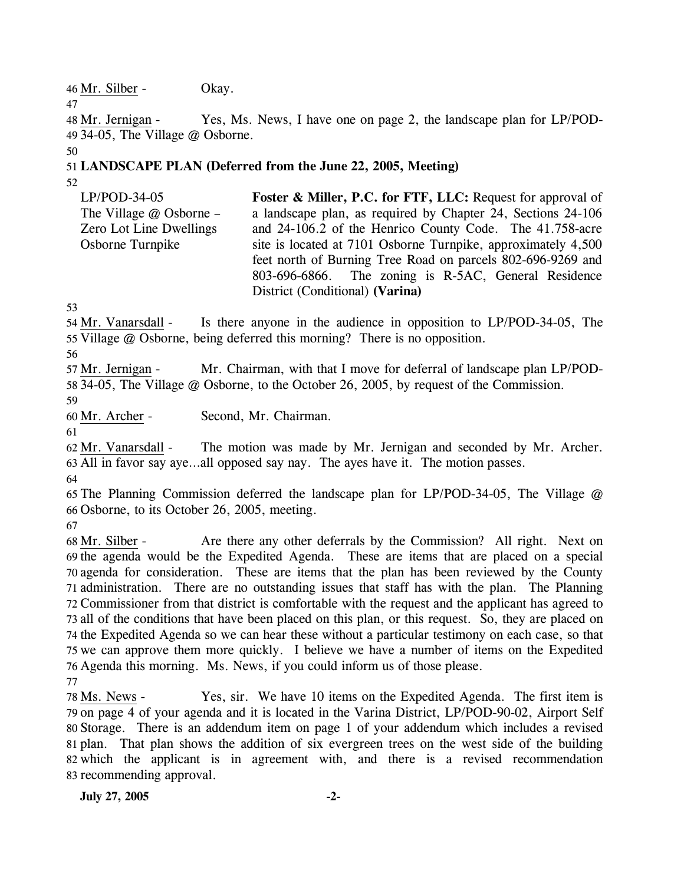46 Mr. Silber - Okay.

Yes, Ms. News, I have one on page 2, the landscape plan for LP/POD-34-05, The Village @ Osborne. 49 48 Mr. Jernigan -

50

47

## 51 **LANDSCAPE PLAN (Deferred from the June 22, 2005, Meeting)**

52 LP/POD-34-05 The Village @ Osborne – Zero Lot Line Dwellings Osborne Turnpike **Foster & Miller, P.C. for FTF, LLC:** Request for approval of a landscape plan, as required by Chapter 24, Sections 24-106 and 24-106.2 of the Henrico County Code. The 41.758-acre site is located at 7101 Osborne Turnpike, approximately 4,500 feet north of Burning Tree Road on parcels 802-696-9269 and 803-696-6866. The zoning is R-5AC, General Residence District (Conditional) **(Varina)** 

53

Is there anyone in the audience in opposition to LP/POD-34-05, The 55 Village @ Osborne, being deferred this morning? There is no opposition. 54 Mr. Vanarsdall -

56

Mr. Chairman, with that I move for deferral of landscape plan LP/POD-58 34-05, The Village @ Osborne, to the October 26, 2005, by request of the Commission. 57 Mr. Jernigan -

59

60 Mr. Archer - Second, Mr. Chairman.

61

The motion was made by Mr. Jernigan and seconded by Mr. Archer. All in favor say aye…all opposed say nay. The ayes have it. The motion passes. 63 62 Mr. Vanarsdall -

64

65 The Planning Commission deferred the landscape plan for LP/POD-34-05, The Village @ 66 Osborne, to its October 26, 2005, meeting.

67

Are there any other deferrals by the Commission? All right. Next on 69 the agenda would be the Expedited Agenda. These are items that are placed on a special 70 agenda for consideration. These are items that the plan has been reviewed by the County 71 administration. There are no outstanding issues that staff has with the plan. The Planning 72 Commissioner from that district is comfortable with the request and the applicant has agreed to 73 all of the conditions that have been placed on this plan, or this request. So, they are placed on 74 the Expedited Agenda so we can hear these without a particular testimony on each case, so that 75 we can approve them more quickly. I believe we have a number of items on the Expedited 76 Agenda this morning. Ms. News, if you could inform us of those please. 68 Mr. Silber -77

Yes, sir. We have 10 items on the Expedited Agenda. The first item is 79 on page 4 of your agenda and it is located in the Varina District, LP/POD-90-02, Airport Self Storage. There is an addendum item on page 1 of your addendum which includes a revised 80 81 plan. That plan shows the addition of six evergreen trees on the west side of the building 82 which the applicant is in agreement with, and there is a revised recommendation 83 recommending approval. 78 Ms. News -

**July 27, 2005 -2-**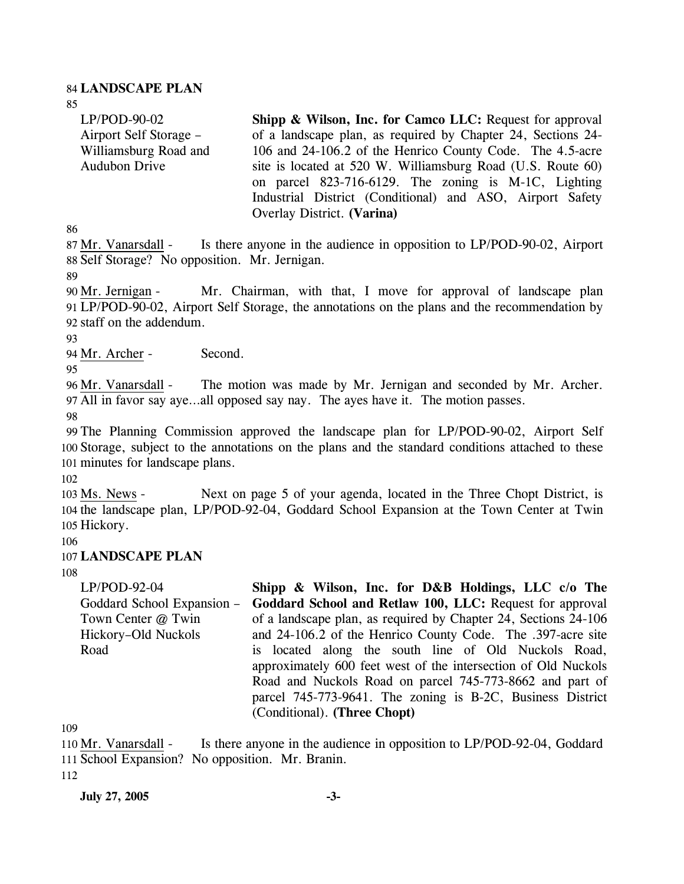#### 84 **LANDSCAPE PLAN**

85

LP/POD-90-02 Airport Self Storage – Williamsburg Road and Audubon Drive **Shipp & Wilson, Inc. for Camco LLC: Request for approval** of a landscape plan, as required by Chapter 24, Sections 24- 106 and 24-106.2 of the Henrico County Code. The 4.5-acre site is located at 520 W. Williamsburg Road (U.S. Route 60) on parcel 823-716-6129. The zoning is M-1C, Lighting Industrial District (Conditional) and ASO, Airport Safety Overlay District. **(Varina)** 

86

Is there anyone in the audience in opposition to LP/POD-90-02, Airport 88 Self Storage? No opposition. Mr. Jernigan. 87 Mr. Vanarsdall -

89

Mr. Chairman, with that, I move for approval of landscape plan LP/POD-90-02, Airport Self Storage, the annotations on the plans and the recommendation by 91 92 staff on the addendum. 90 Mr. Jernigan -

93

94 Mr. Archer - Second.

95

The motion was made by Mr. Jernigan and seconded by Mr. Archer. All in favor say aye…all opposed say nay. The ayes have it. The motion passes. 97 96 Mr. Vanarsdall -

98

99 The Planning Commission approved the landscape plan for LP/POD-90-02, Airport Self 100 Storage, subject to the annotations on the plans and the standard conditions attached to these 101 minutes for landscape plans.

102

Next on page 5 of your agenda, located in the Three Chopt District, is 104 the landscape plan, LP/POD-92-04, Goddard School Expansion at the Town Center at Twin 105 Hickory. 103 Ms. News -

106

### 107 **LANDSCAPE PLAN**

108

LP/POD-92-04 Goddard School Expansion – Town Center @ Twin Hickory–Old Nuckols Road **Shipp & Wilson, Inc. for D&B Holdings, LLC c/o The Goddard School and Retlaw 100, LLC:** Request for approval of a landscape plan, as required by Chapter 24, Sections 24-106 and 24-106.2 of the Henrico County Code. The .397-acre site is located along the south line of Old Nuckols Road, approximately 600 feet west of the intersection of Old Nuckols Road and Nuckols Road on parcel 745-773-8662 and part of parcel 745-773-9641. The zoning is B-2C, Business District (Conditional). **(Three Chopt)** 

109

Is there anyone in the audience in opposition to LP/POD-92-04, Goddard 111 School Expansion? No opposition. Mr. Branin. 110 Mr. Vanarsdall -112

**July 27, 2005 -3-**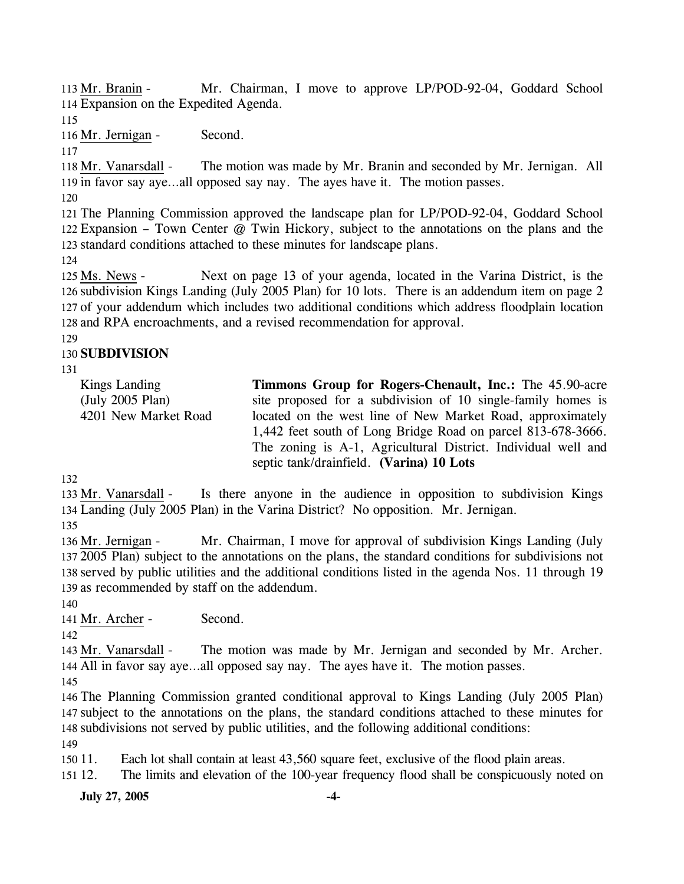Mr. Chairman, I move to approve LP/POD-92-04, Goddard School 114 Expansion on the Expedited Agenda. 113 Mr. Branin -

115

116 Mr. Jernigan - Second.

117

The motion was made by Mr. Branin and seconded by Mr. Jernigan. All 119 in favor say aye...all opposed say nay. The ayes have it. The motion passes. 118 Mr. Vanarsdall -

120

121 The Planning Commission approved the landscape plan for LP/POD-92-04, Goddard School 122 Expansion – Town Center @ Twin Hickory, subject to the annotations on the plans and the 123 standard conditions attached to these minutes for landscape plans.

124

Next on page 13 of your agenda, located in the Varina District, is the 126 subdivision Kings Landing (July 2005 Plan) for 10 lots. There is an addendum item on page 2 127 of your addendum which includes two additional conditions which address floodplain location 128 and RPA encroachments, and a revised recommendation for approval. 125 Ms. News -

129

## 130 **SUBDIVISION**

131

Kings Landing (July 2005 Plan) 4201 New Market Road **Timmons Group for Rogers-Chenault, Inc.:** The 45.90-acre site proposed for a subdivision of 10 single-family homes is located on the west line of New Market Road, approximately 1,442 feet south of Long Bridge Road on parcel 813-678-3666. The zoning is A-1, Agricultural District. Individual well and septic tank/drainfield. **(Varina) 10 Lots** 

132

Is there anyone in the audience in opposition to subdivision Kings Landing (July 2005 Plan) in the Varina District? No opposition. Mr. Jernigan. 134 133 Mr. Vanarsdall -

135

Mr. Chairman, I move for approval of subdivision Kings Landing (July 2005 Plan) subject to the annotations on the plans, the standard conditions for subdivisions not 137 138 served by public utilities and the additional conditions listed in the agenda Nos. 11 through 19 139 as recommended by staff on the addendum. 136 Mr. Jernigan -

140

141 Mr. Archer - Second.

142

The motion was made by Mr. Jernigan and seconded by Mr. Archer. All in favor say aye…all opposed say nay. The ayes have it. The motion passes. 144 143 Mr. Vanarsdall -

145

146 The Planning Commission granted conditional approval to Kings Landing (July 2005 Plan) 147 subject to the annotations on the plans, the standard conditions attached to these minutes for 148 subdivisions not served by public utilities, and the following additional conditions:

149

 $15011.$ Each lot shall contain at least 43,560 square feet, exclusive of the flood plain areas.

151 12. The limits and elevation of the 100-year frequency flood shall be conspicuously noted on

**July 27, 2005 -4-**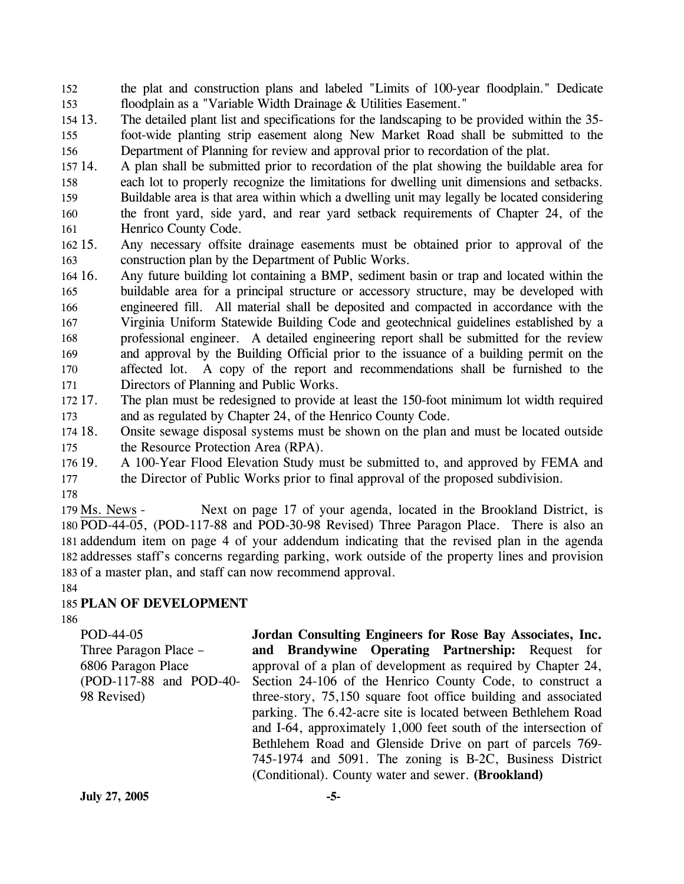152 153 the plat and construction plans and labeled "Limits of 100-year floodplain." Dedicate floodplain as a "Variable Width Drainage & Utilities Easement."

- 154 13. 155 156 The detailed plant list and specifications for the landscaping to be provided within the 35foot-wide planting strip easement along New Market Road shall be submitted to the Department of Planning for review and approval prior to recordation of the plat.
- 157 14. 158 14. A plan shall be submitted prior to recordation of the plat showing the buildable area for each lot to properly recognize the limitations for dwelling unit dimensions and setbacks.
- 159 160 161 Buildable area is that area within which a dwelling unit may legally be located considering the front yard, side yard, and rear yard setback requirements of Chapter 24, of the Henrico County Code.
- 162 15. 163 Any necessary offsite drainage easements must be obtained prior to approval of the construction plan by the Department of Public Works.
- 164 16. 165 166 167 168 169 170 171 16. Any future building lot containing a BMP, sediment basin or trap and located within the buildable area for a principal structure or accessory structure, may be developed with engineered fill. All material shall be deposited and compacted in accordance with the Virginia Uniform Statewide Building Code and geotechnical guidelines established by a professional engineer. A detailed engineering report shall be submitted for the review and approval by the Building Official prior to the issuance of a building permit on the affected lot. A copy of the report and recommendations shall be furnished to the Directors of Planning and Public Works.
- 172 17. 173 The plan must be redesigned to provide at least the 150-foot minimum lot width required and as regulated by Chapter 24, of the Henrico County Code.
- 174 18. 175 18. Onsite sewage disposal systems must be shown on the plan and must be located outside the Resource Protection Area (RPA).
- 176 19. 177 19. A 100-Year Flood Elevation Study must be submitted to, and approved by FEMA and the Director of Public Works prior to final approval of the proposed subdivision.
- 178

Next on page 17 of your agenda, located in the Brookland District, is 180 POD-44-05, (POD-117-88 and POD-30-98 Revised) Three Paragon Place. There is also an 181 addendum item on page 4 of your addendum indicating that the revised plan in the agenda 182 addresses staff's concerns regarding parking, work outside of the property lines and provision 183 of a master plan, and staff can now recommend approval. 179 Ms. News -

#### 184 185 **PLAN OF DEVELOPMENT**

186

POD-44-05 Three Paragon Place – 6806 Paragon Place (POD-117-88 and POD-40- 98 Revised) **Jordan Consulting Engineers for Rose Bay Associates, Inc. and Brandywine Operating Partnership:** Request for approval of a plan of development as required by Chapter 24, Section 24-106 of the Henrico County Code, to construct a three-story, 75,150 square foot office building and associated parking. The 6.42-acre site is located between Bethlehem Road and I-64, approximately 1,000 feet south of the intersection of Bethlehem Road and Glenside Drive on part of parcels 769- 745-1974 and 5091. The zoning is B-2C, Business District (Conditional). County water and sewer. **(Brookland)**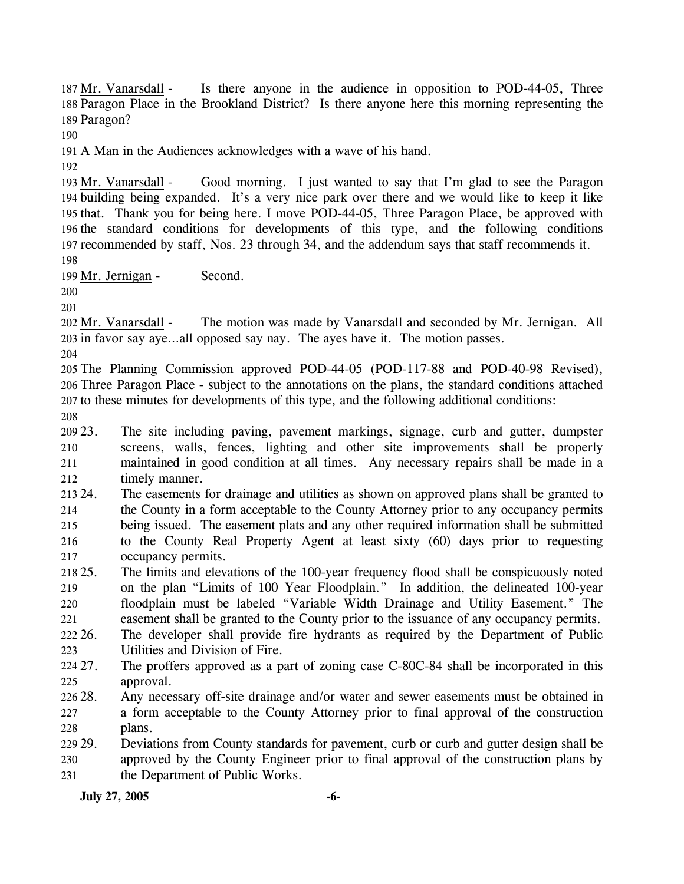Is there anyone in the audience in opposition to POD-44-05, Three 188 Paragon Place in the Brookland District? Is there anyone here this morning representing the 189 Paragon? 187 Mr. Vanarsdall -

190

191 A Man in the Audiences acknowledges with a wave of his hand.

192

Good morning. I just wanted to say that I'm glad to see the Paragon building being expanded. It's a very nice park over there and we would like to keep it like 194 195 that. Thank you for being here. I move POD-44-05, Three Paragon Place, be approved with 196 the standard conditions for developments of this type, and the following conditions 197 recommended by staff, Nos. 23 through 34, and the addendum says that staff recommends it. 193 Mr. Vanarsdall -198

199 Mr. Jernigan - Second.

200

201

The motion was made by Vanarsdall and seconded by Mr. Jernigan. All 203 in favor say aye...all opposed say nay. The ayes have it. The motion passes. 202 Mr. Vanarsdall -

204

205 The Planning Commission approved POD-44-05 (POD-117-88 and POD-40-98 Revised), 206 Three Paragon Place - subject to the annotations on the plans, the standard conditions attached 207 to these minutes for developments of this type, and the following additional conditions:

208

209 23. 210 211 212 The site including paving, pavement markings, signage, curb and gutter, dumpster screens, walls, fences, lighting and other site improvements shall be properly maintained in good condition at all times. Any necessary repairs shall be made in a timely manner.

213 24. 214 215 216 217 24. The easements for drainage and utilities as shown on approved plans shall be granted to the County in a form acceptable to the County Attorney prior to any occupancy permits being issued. The easement plats and any other required information shall be submitted to the County Real Property Agent at least sixty (60) days prior to requesting occupancy permits.

- 218 25. 219 220 221 222 26. 25. The limits and elevations of the 100-year frequency flood shall be conspicuously noted on the plan "Limits of 100 Year Floodplain." In addition, the delineated 100-year floodplain must be labeled "Variable Width Drainage and Utility Easement." The easement shall be granted to the County prior to the issuance of any occupancy permits. The developer shall provide fire hydrants as required by the Department of Public
- 223 Utilities and Division of Fire.
- 224 27 225 The proffers approved as a part of zoning case C-80C-84 shall be incorporated in this approval.
- 226 28. 227 228 Any necessary off-site drainage and/or water and sewer easements must be obtained in a form acceptable to the County Attorney prior to final approval of the construction plans.
- 229. 230 231 29. Deviations from County standards for pavement, curb or curb and gutter design shall be approved by the County Engineer prior to final approval of the construction plans by the Department of Public Works.

**July 27, 2005 -6-**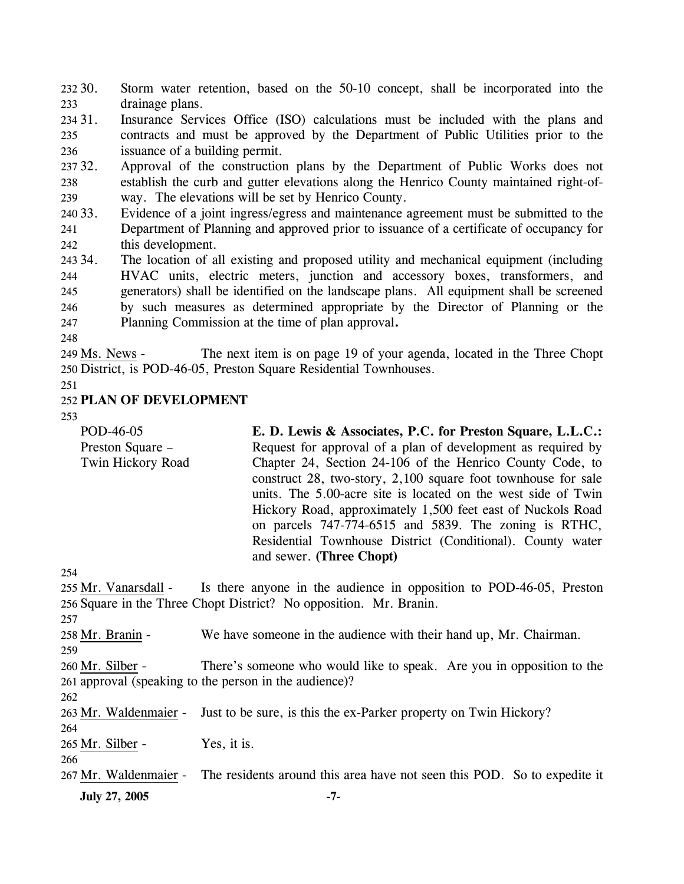232 30. 233 Storm water retention, based on the 50-10 concept, shall be incorporated into the drainage plans.

234 31. 235 236 Insurance Services Office (ISO) calculations must be included with the plans and contracts and must be approved by the Department of Public Utilities prior to the issuance of a building permit.

237 32. 238 239 Approval of the construction plans by the Department of Public Works does not establish the curb and gutter elevations along the Henrico County maintained right-ofway. The elevations will be set by Henrico County.

240 33. 241 242 Evidence of a joint ingress/egress and maintenance agreement must be submitted to the Department of Planning and approved prior to issuance of a certificate of occupancy for this development.

243 34. 244 245 246 247 The location of all existing and proposed utility and mechanical equipment (including HVAC units, electric meters, junction and accessory boxes, transformers, and generators) shall be identified on the landscape plans. All equipment shall be screened by such measures as determined appropriate by the Director of Planning or the Planning Commission at the time of plan approval**.**

248

The next item is on page 19 of your agenda, located in the Three Chopt 250 District, is POD-46-05, Preston Square Residential Townhouses. 249 Ms. News -

251

#### 252 **PLAN OF DEVELOPMENT**

253

| POD-46-05         | E. D. Lewis & Associates, P.C. for Preston Square, L.L.C.:    |
|-------------------|---------------------------------------------------------------|
| Preston Square –  | Request for approval of a plan of development as required by  |
| Twin Hickory Road | Chapter 24, Section 24-106 of the Henrico County Code, to     |
|                   | construct 28, two-story, 2,100 square foot townhouse for sale |
|                   | units. The 5.00-acre site is located on the west side of Twin |
|                   | Hickory Road, approximately 1,500 feet east of Nuckols Road   |
|                   | on parcels 747-774-6515 and 5839. The zoning is RTHC,         |
|                   | Residential Townhouse District (Conditional). County water    |
|                   | and sewer. (Three Chopt)                                      |
|                   |                                                               |

254

Is there anyone in the audience in opposition to POD-46-05, Preston 256 Square in the Three Chopt District? No opposition. Mr. Branin. 255 Mr. Vanarsdall -257 258 Mr. Branin - We have someone in the audience with their hand up, Mr. Chairman. 259 There's someone who would like to speak. Are you in opposition to the 261 approval (speaking to the person in the audience)? 260 Mr. Silber -262 263 Mr. Waldenmaier - Just to be sure, is this the ex-Parker property on Twin Hickory? 264

265 Mr. Silber - Yes, it is.

266

**July 27, 2005** -7-267 Mr. Waldenmaier - The residents around this area have not seen this POD. So to expedite it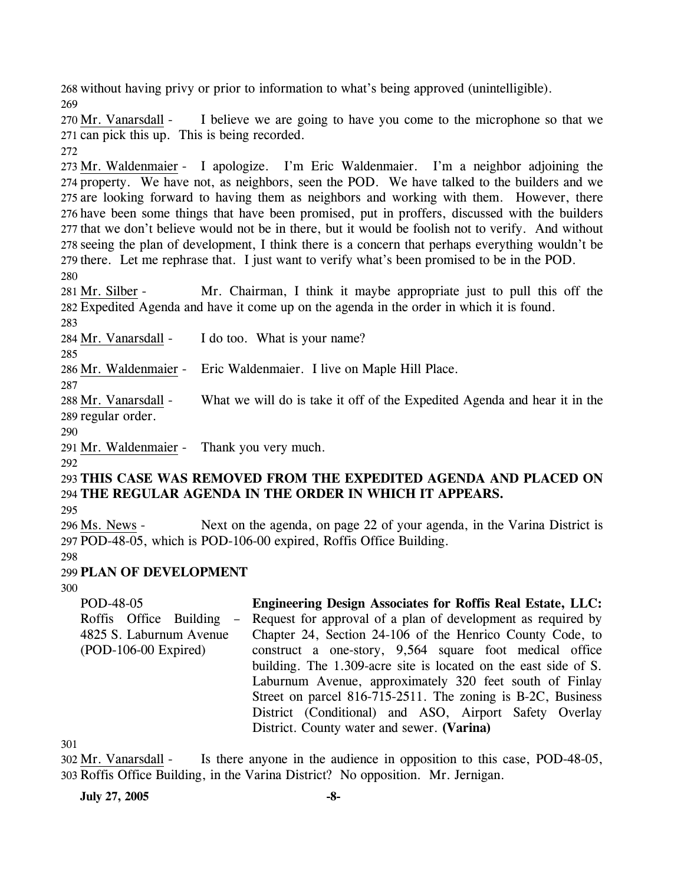268 without having privy or prior to information to what's being approved (unintelligible). 269

I believe we are going to have you come to the microphone so that we 271 can pick this up. This is being recorded. 270 Mr. Vanarsdall -

272

273 Mr. Waldenmaier - I apologize. I'm Eric Waldenmaier. I'm a neighbor adjoining the 274 property. We have not, as neighbors, seen the POD. We have talked to the builders and we 275 are looking forward to having them as neighbors and working with them. However, there 276 have been some things that have been promised, put in proffers, discussed with the builders 277 that we don't believe would not be in there, but it would be foolish not to verify. And without 278 seeing the plan of development, I think there is a concern that perhaps everything wouldn't be 279 there. Let me rephrase that. I just want to verify what's been promised to be in the POD. 280

Mr. Chairman, I think it maybe appropriate just to pull this off the Expedited Agenda and have it come up on the agenda in the order in which it is found. 282 281 Mr. Silber -

283

284 Mr. Vanarsdall - I do too. What is your name?

285

286 Mr. Waldenmaier - Eric Waldenmaier. I live on Maple Hill Place.

287

What we will do is take it off of the Expedited Agenda and hear it in the 289 regular order. 288 Mr. Vanarsdall -

290

291 Mr. Waldenmaier - Thank you very much.

292

293 **THIS CASE WAS REMOVED FROM THE EXPEDITED AGENDA AND PLACED ON**  294 **THE REGULAR AGENDA IN THE ORDER IN WHICH IT APPEARS.** 

295

Next on the agenda, on page 22 of your agenda, in the Varina District is POD-48-05, which is POD-106-00 expired, Roffis Office Building. 297 296 Ms. News -

298

### 299 **PLAN OF DEVELOPMENT**

300

POD-48-05 Roffis Office Building – 4825 S. Laburnum Avenue (POD-106-00 Expired) **Engineering Design Associates for Roffis Real Estate, LLC:**  Request for approval of a plan of development as required by Chapter 24, Section 24-106 of the Henrico County Code, to construct a one-story, 9,564 square foot medical office building. The 1.309-acre site is located on the east side of S. Laburnum Avenue, approximately 320 feet south of Finlay Street on parcel 816-715-2511. The zoning is B-2C, Business District (Conditional) and ASO, Airport Safety Overlay District. County water and sewer. **(Varina)** 

301

Is there anyone in the audience in opposition to this case, POD-48-05, Roffis Office Building, in the Varina District? No opposition. Mr. Jernigan. 303 302 Mr. Vanarsdall -

**July 27, 2005 -8-**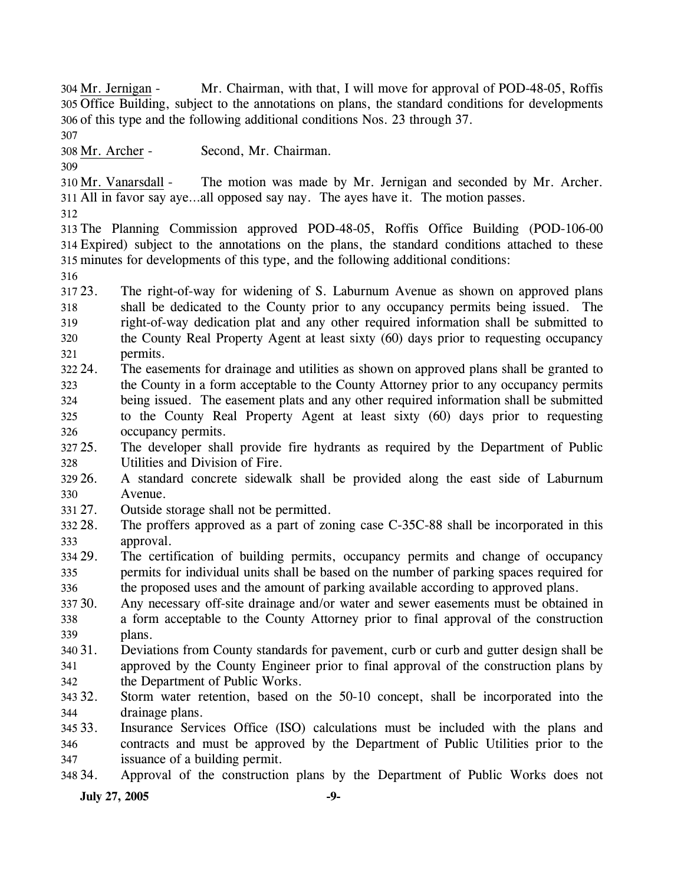Mr. Chairman, with that, I will move for approval of POD-48-05, Roffis 305 Office Building, subject to the annotations on plans, the standard conditions for developments 306 of this type and the following additional conditions Nos. 23 through 37. 304 Mr. Jernigan -

307

308 Mr. Archer - Second, Mr. Chairman.

309

The motion was made by Mr. Jernigan and seconded by Mr. Archer. All in favor say aye…all opposed say nay. The ayes have it. The motion passes. 311 310 Mr. Vanarsdall -

312

313 The Planning Commission approved POD-48-05, Roffis Office Building (POD-106-00 314 Expired) subject to the annotations on the plans, the standard conditions attached to these 315 minutes for developments of this type, and the following additional conditions:

316

317 23. 318 319 320 321 The right-of-way for widening of S. Laburnum Avenue as shown on approved plans shall be dedicated to the County prior to any occupancy permits being issued. The right-of-way dedication plat and any other required information shall be submitted to the County Real Property Agent at least sixty (60) days prior to requesting occupancy permits.

322 24. 323 324 325 326 24. The easements for drainage and utilities as shown on approved plans shall be granted to the County in a form acceptable to the County Attorney prior to any occupancy permits being issued. The easement plats and any other required information shall be submitted to the County Real Property Agent at least sixty (60) days prior to requesting occupancy permits.

327 25. 328 25. The developer shall provide fire hydrants as required by the Department of Public Utilities and Division of Fire.

329 26. 330 26. A standard concrete sidewalk shall be provided along the east side of Laburnum Avenue.

- 331 27. Outside storage shall not be permitted.
- 332 28. 333 The proffers approved as a part of zoning case  $C-35C-88$  shall be incorporated in this approval.
- 334 29. 335 336 The certification of building permits, occupancy permits and change of occupancy permits for individual units shall be based on the number of parking spaces required for the proposed uses and the amount of parking available according to approved plans.

30. 338 339 Any necessary off-site drainage and/or water and sewer easements must be obtained in a form acceptable to the County Attorney prior to final approval of the construction

340 31. 341 342 plans. 31. Deviations from County standards for pavement, curb or curb and gutter design shall be approved by the County Engineer prior to final approval of the construction plans by the Department of Public Works.

343 32. 344 Storm water retention, based on the 50-10 concept, shall be incorporated into the drainage plans.

345 33. 346 347 Insurance Services Office (ISO) calculations must be included with the plans and contracts and must be approved by the Department of Public Utilities prior to the issuance of a building permit.

348 34. 34. Approval of the construction plans by the Department of Public Works does not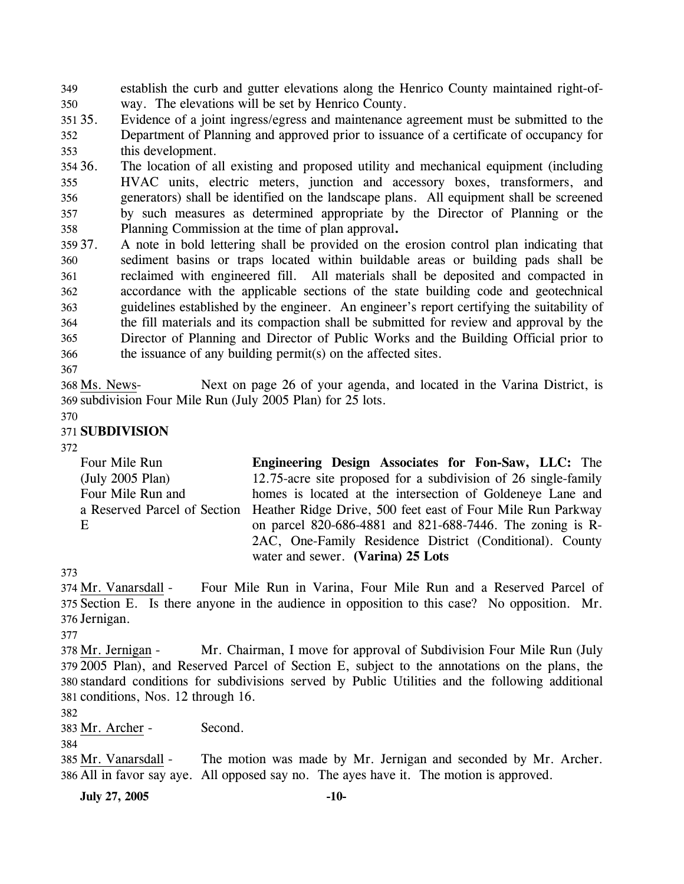349 350 establish the curb and gutter elevations along the Henrico County maintained right-ofway. The elevations will be set by Henrico County.

351. 352 353 Evidence of a joint ingress/egress and maintenance agreement must be submitted to the Department of Planning and approved prior to issuance of a certificate of occupancy for this development.

354 36. 355 356 357 358 The location of all existing and proposed utility and mechanical equipment (including HVAC units, electric meters, junction and accessory boxes, transformers, and generators) shall be identified on the landscape plans. All equipment shall be screened by such measures as determined appropriate by the Director of Planning or the Planning Commission at the time of plan approval**.**

- 359 37. 360 361 362 363 364 365 366 37. A note in bold lettering shall be provided on the erosion control plan indicating that sediment basins or traps located within buildable areas or building pads shall be reclaimed with engineered fill. All materials shall be deposited and compacted in accordance with the applicable sections of the state building code and geotechnical guidelines established by the engineer. An engineer's report certifying the suitability of the fill materials and its compaction shall be submitted for review and approval by the Director of Planning and Director of Public Works and the Building Official prior to the issuance of any building permit(s) on the affected sites.
- 367

Next on page 26 of your agenda, and located in the Varina District, is 369 subdivision Four Mile Run (July 2005 Plan) for 25 lots. 368 Ms. News-

370

## 371 **SUBDIVISION**

372

Four Mile Run (July 2005 Plan) Four Mile Run and a Reserved Parcel of Section E **Engineering Design Associates for Fon-Saw, LLC:** The 12.75-acre site proposed for a subdivision of 26 single-family homes is located at the intersection of Goldeneye Lane and Heather Ridge Drive, 500 feet east of Four Mile Run Parkway on parcel 820-686-4881 and 821-688-7446. The zoning is R-2AC, One-Family Residence District (Conditional). County water and sewer. **(Varina) 25 Lots** 

373

Four Mile Run in Varina, Four Mile Run and a Reserved Parcel of 375 Section E. Is there anyone in the audience in opposition to this case? No opposition. Mr. 376 Jernigan. 374 Mr. Vanarsdall -

377

Mr. Chairman, I move for approval of Subdivision Four Mile Run (July 2005 Plan), and Reserved Parcel of Section E, subject to the annotations on the plans, the 379 standard conditions for subdivisions served by Public Utilities and the following additional 380 381 conditions, Nos. 12 through 16. 378 Mr. Jernigan -

382

383 Mr. Archer - Second.

384

The motion was made by Mr. Jernigan and seconded by Mr. Archer. All in favor say aye. All opposed say no. The ayes have it. The motion is approved. 386 385 Mr. Vanarsdall -

**July 27, 2005 -10-**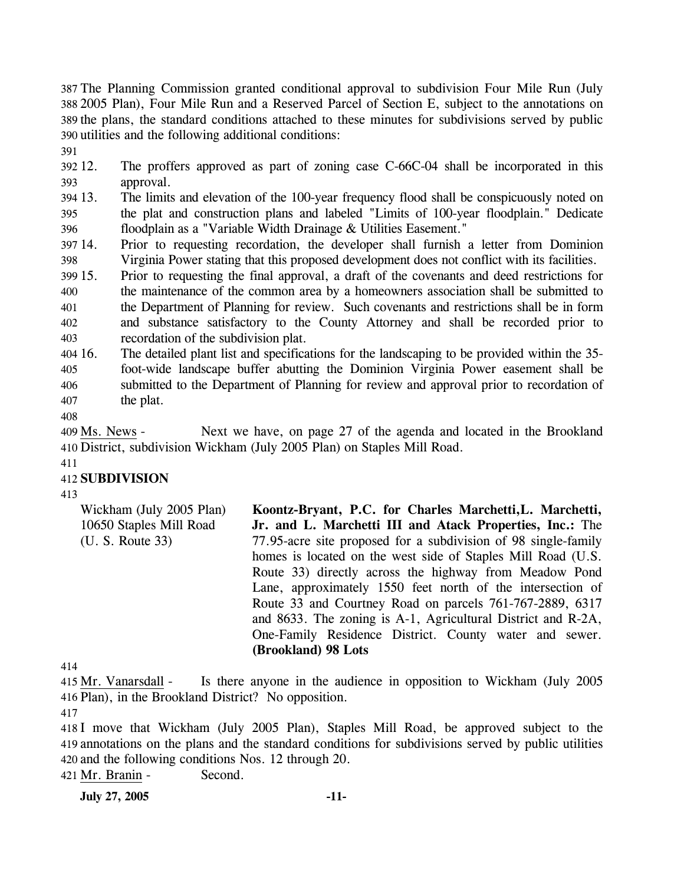The Planning Commission granted conditional approval to subdivision Four Mile Run (July 2005 Plan), Four Mile Run and a Reserved Parcel of Section E, subject to the annotations on the plans, the standard conditions attached to these minutes for subdivisions served by public utilities and the following additional conditions:

391

392 12. 393 The proffers approved as part of zoning case C-66C-04 shall be incorporated in this approval.

394 13. 395 396 The limits and elevation of the 100-year frequency flood shall be conspicuously noted on the plat and construction plans and labeled "Limits of 100-year floodplain." Dedicate floodplain as a "Variable Width Drainage & Utilities Easement."

397 14. 398 Prior to requesting recordation, the developer shall furnish a letter from Dominion Virginia Power stating that this proposed development does not conflict with its facilities.

399 15. 400 401 402 403 15. Prior to requesting the final approval, a draft of the covenants and deed restrictions for the maintenance of the common area by a homeowners association shall be submitted to the Department of Planning for review. Such covenants and restrictions shall be in form and substance satisfactory to the County Attorney and shall be recorded prior to recordation of the subdivision plat.

 $404\,16.$ 405 406 407 The detailed plant list and specifications for the landscaping to be provided within the 35foot-wide landscape buffer abutting the Dominion Virginia Power easement shall be submitted to the Department of Planning for review and approval prior to recordation of the plat.

408

Next we have, on page 27 of the agenda and located in the Brookland District, subdivision Wickham (July 2005 Plan) on Staples Mill Road. 410 409 Ms. News -

411

### 412 **SUBDIVISION**

413

Wickham (July 2005 Plan) 10650 Staples Mill Road (U. S. Route 33) **Koontz-Bryant, P.C. for Charles Marchetti,L. Marchetti, Jr. and L. Marchetti III and Atack Properties, Inc.:** The 77.95-acre site proposed for a subdivision of 98 single-family homes is located on the west side of Staples Mill Road (U.S. Route 33) directly across the highway from Meadow Pond Lane, approximately 1550 feet north of the intersection of Route 33 and Courtney Road on parcels 761-767-2889, 6317 and 8633. The zoning is A-1, Agricultural District and R-2A, One-Family Residence District. County water and sewer. **(Brookland) 98 Lots** 

414

Is there anyone in the audience in opposition to Wickham (July 2005) 416 Plan), in the Brookland District? No opposition. 415 Mr. Vanarsdall -

417

418 I move that Wickham (July 2005 Plan), Staples Mill Road, be approved subject to the 419 annotations on the plans and the standard conditions for subdivisions served by public utilities 420 and the following conditions Nos. 12 through 20.

421 Mr. Branin - Second.

**July 27, 2005 -11-**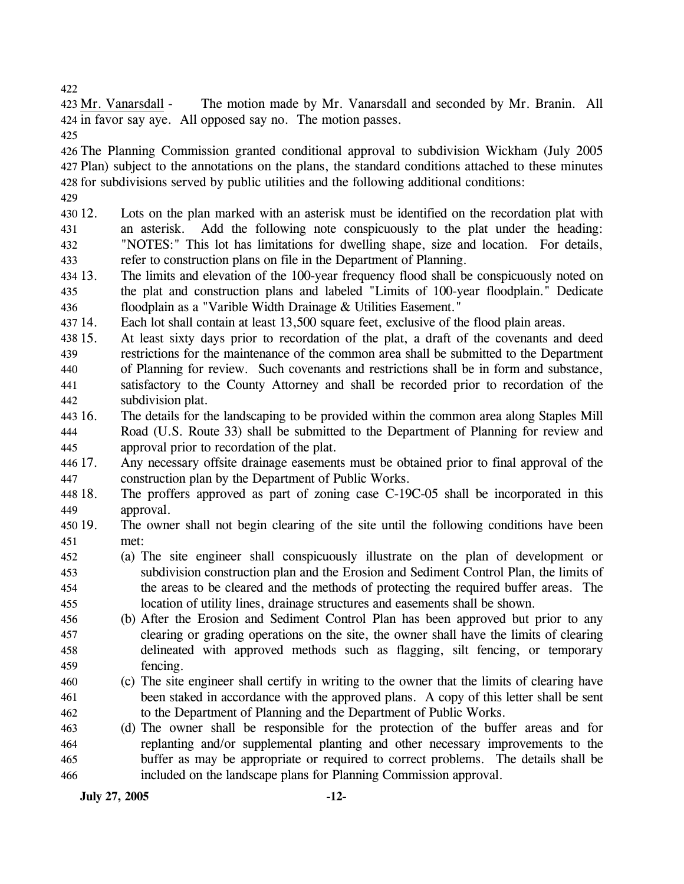422

The motion made by Mr. Vanarsdall and seconded by Mr. Branin. All 424 in favor say aye. All opposed say no. The motion passes. 423 Mr. Vanarsdall -

425

426 The Planning Commission granted conditional approval to subdivision Wickham (July 2005 427 Plan) subject to the annotations on the plans, the standard conditions attached to these minutes 428 for subdivisions served by public utilities and the following additional conditions:

429

430 12. 431 432 433 Lots on the plan marked with an asterisk must be identified on the recordation plat with an asterisk. Add the following note conspicuously to the plat under the heading: "NOTES:" This lot has limitations for dwelling shape, size and location. For details, refer to construction plans on file in the Department of Planning.

- 434 13. 435 436 The limits and elevation of the 100-year frequency flood shall be conspicuously noted on the plat and construction plans and labeled "Limits of 100-year floodplain." Dedicate floodplain as a "Varible Width Drainage & Utilities Easement."
- 437 14. Each lot shall contain at least 13,500 square feet, exclusive of the flood plain areas.
- 438 15. 439 440 441 442 At least sixty days prior to recordation of the plat, a draft of the covenants and deed restrictions for the maintenance of the common area shall be submitted to the Department of Planning for review. Such covenants and restrictions shall be in form and substance, satisfactory to the County Attorney and shall be recorded prior to recordation of the subdivision plat.
- 443 16. 444 445 The details for the landscaping to be provided within the common area along Staples Mill Road (U.S. Route 33) shall be submitted to the Department of Planning for review and approval prior to recordation of the plat.
- 446 17. 447 Any necessary offsite drainage easements must be obtained prior to final approval of the construction plan by the Department of Public Works.
- 448 18. 449 The proffers approved as part of zoning case C-19C-05 shall be incorporated in this approval.
- 450 19. 451 The owner shall not begin clearing of the site until the following conditions have been met:
- 452 453 454 455 (a) The site engineer shall conspicuously illustrate on the plan of development or subdivision construction plan and the Erosion and Sediment Control Plan, the limits of the areas to be cleared and the methods of protecting the required buffer areas. The location of utility lines, drainage structures and easements shall be shown.
- 456 457 458 459 (b) After the Erosion and Sediment Control Plan has been approved but prior to any clearing or grading operations on the site, the owner shall have the limits of clearing delineated with approved methods such as flagging, silt fencing, or temporary fencing.
- 460 461 462 (c) The site engineer shall certify in writing to the owner that the limits of clearing have been staked in accordance with the approved plans. A copy of this letter shall be sent to the Department of Planning and the Department of Public Works.
- 463 464 465 466 (d) The owner shall be responsible for the protection of the buffer areas and for replanting and/or supplemental planting and other necessary improvements to the buffer as may be appropriate or required to correct problems. The details shall be included on the landscape plans for Planning Commission approval.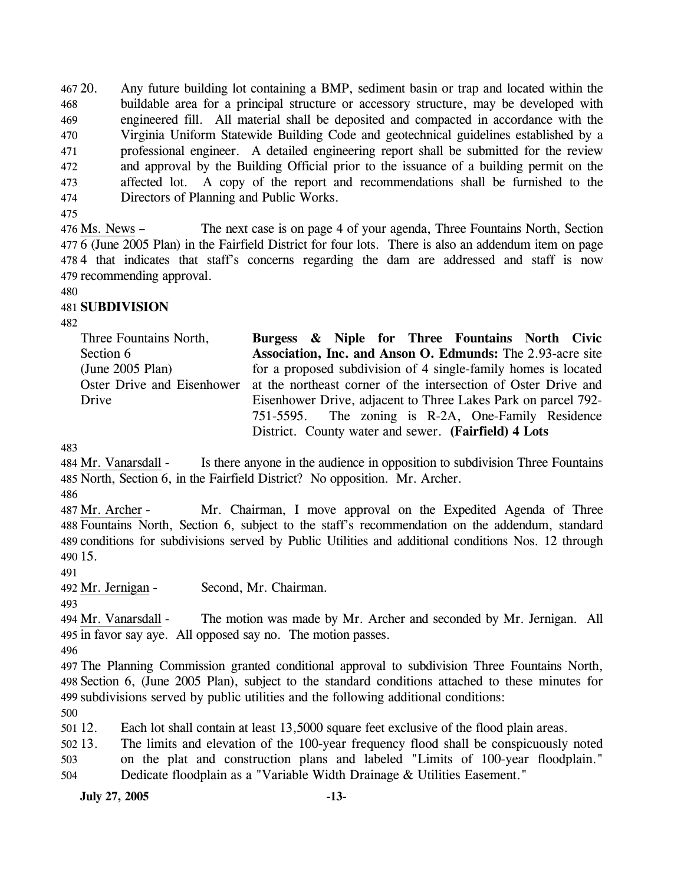467 20. 468 469 470 471 472 473 474 20. Any future building lot containing a BMP, sediment basin or trap and located within the buildable area for a principal structure or accessory structure, may be developed with engineered fill. All material shall be deposited and compacted in accordance with the Virginia Uniform Statewide Building Code and geotechnical guidelines established by a professional engineer. A detailed engineering report shall be submitted for the review and approval by the Building Official prior to the issuance of a building permit on the affected lot. A copy of the report and recommendations shall be furnished to the Directors of Planning and Public Works.

475

The next case is on page 4 of your agenda, Three Fountains North, Section 6 (June 2005 Plan) in the Fairfield District for four lots. There is also an addendum item on page 477 478 4 that indicates that staff's concerns regarding the dam are addressed and staff is now 479 recommending approval.  $476$  Ms. News  $-$ 

480

## 481 **SUBDIVISION**

482

Three Fountains North, Section 6 (June 2005 Plan) Oster Drive and Eisenhower Drive **Burgess & Niple for Three Fountains North Civic Association, Inc. and Anson O. Edmunds:** The 2.93-acre site for a proposed subdivision of 4 single-family homes is located at the northeast corner of the intersection of Oster Drive and Eisenhower Drive, adjacent to Three Lakes Park on parcel 792- 751-5595. The zoning is R-2A, One-Family Residence District. County water and sewer. **(Fairfield) 4 Lots** 

483

Is there anyone in the audience in opposition to subdivision Three Fountains 485 North, Section 6, in the Fairfield District? No opposition. Mr. Archer. 484 Mr. Vanarsdall -

486

Mr. Chairman, I move approval on the Expedited Agenda of Three Fountains North, Section 6, subject to the staff's recommendation on the addendum, standard 488 489 conditions for subdivisions served by Public Utilities and additional conditions Nos. 12 through 15. 490 487 Mr. Archer -

491

492 Mr. Jernigan - Second, Mr. Chairman.

493

The motion was made by Mr. Archer and seconded by Mr. Jernigan. All 495 in favor say aye. All opposed say no. The motion passes. 494 Mr. Vanarsdall -

496

497 The Planning Commission granted conditional approval to subdivision Three Fountains North, 498 Section 6, (June 2005 Plan), subject to the standard conditions attached to these minutes for 499 subdivisions served by public utilities and the following additional conditions:

500

501 12. Each lot shall contain at least 13,5000 square feet exclusive of the flood plain areas.

502 13. 503 The limits and elevation of the 100-year frequency flood shall be conspicuously noted on the plat and construction plans and labeled "Limits of 100-year floodplain."

504 Dedicate floodplain as a "Variable Width Drainage & Utilities Easement."

**July 27, 2005 -13-**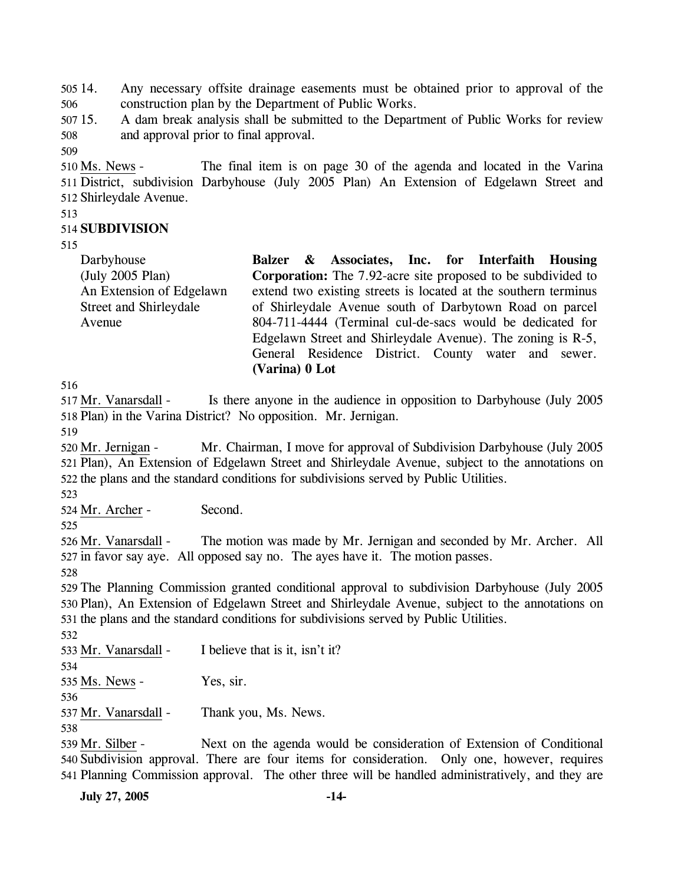505 14. 506 14. Any necessary offsite drainage easements must be obtained prior to approval of the construction plan by the Department of Public Works.

507 15. 508 15. A dam break analysis shall be submitted to the Department of Public Works for review and approval prior to final approval.

509

The final item is on page 30 of the agenda and located in the Varina 511 District, subdivision Darbyhouse (July 2005 Plan) An Extension of Edgelawn Street and 512 Shirleydale Avenue. 510 Ms. News -

513

#### 514 **SUBDIVISION**

515

Darbyhouse (July 2005 Plan) An Extension of Edgelawn Street and Shirleydale Avenue **Balzer & Associates, Inc. for Interfaith Housing Corporation:** The 7.92-acre site proposed to be subdivided to extend two existing streets is located at the southern terminus of Shirleydale Avenue south of Darbytown Road on parcel 804-711-4444 (Terminal cul-de-sacs would be dedicated for Edgelawn Street and Shirleydale Avenue). The zoning is R-5, General Residence District. County water and sewer.

516

Is there anyone in the audience in opposition to Darbyhouse (July 2005) 518 Plan) in the Varina District? No opposition. Mr. Jernigan. 517 Mr. Vanarsdall -

**(Varina) 0 Lot** 

519

Mr. Chairman, I move for approval of Subdivision Darbyhouse (July 2005) 521 Plan), An Extension of Edgelawn Street and Shirleydale Avenue, subject to the annotations on 522 the plans and the standard conditions for subdivisions served by Public Utilities. 520 Mr. Jernigan -

523

524 Mr. Archer - Second.

525

The motion was made by Mr. Jernigan and seconded by Mr. Archer. All 527 in favor say aye. All opposed say no. The ayes have it. The motion passes. 526 Mr. Vanarsdall -

528

529 The Planning Commission granted conditional approval to subdivision Darbyhouse (July 2005 530 Plan), An Extension of Edgelawn Street and Shirleydale Avenue, subject to the annotations on 531 the plans and the standard conditions for subdivisions served by Public Utilities.

532

533 Mr. Vanarsdall - I believe that is it, isn't it?

534

535 Ms. News - Yes, sir.

536

537 Mr. Vanarsdall - Thank you, Ms. News.

538

Next on the agenda would be consideration of Extension of Conditional 540 Subdivision approval. There are four items for consideration. Only one, however, requires 541 Planning Commission approval. The other three will be handled administratively, and they are 539 Mr. Silber -

**July 27, 2005 -14-**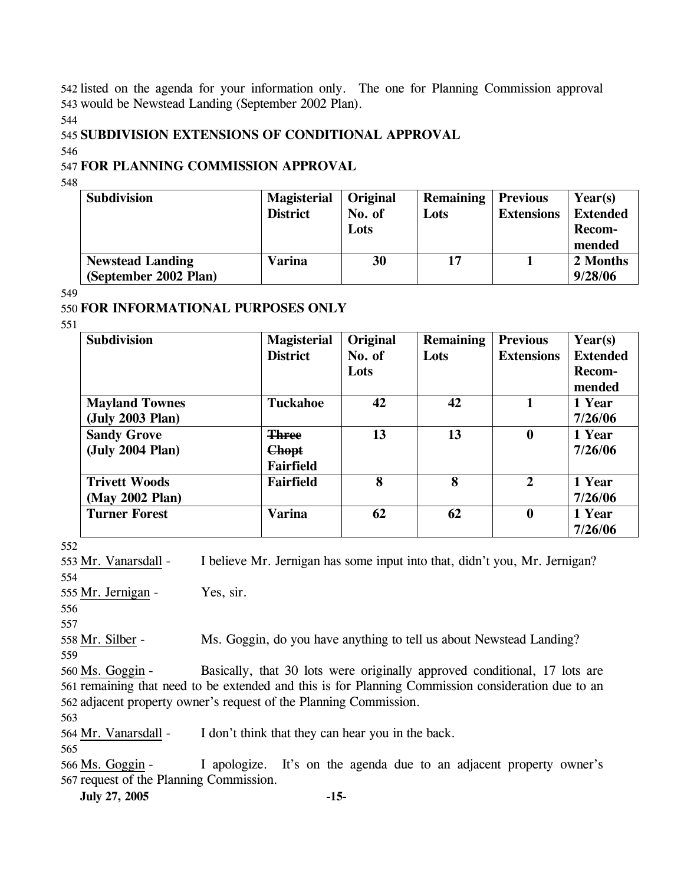542 listed on the agenda for your information only. The one for Planning Commission approval 543 would be Newstead Landing (September 2002 Plan).

544

#### 545 **SUBDIVISION EXTENSIONS OF CONDITIONAL APPROVAL**

546

## 547 **FOR PLANNING COMMISSION APPROVAL**

548

| <b>Subdivision</b>      | <b>Magisterial</b> | Original | <b>Remaining   Previous</b> |                   | Year(s)         |
|-------------------------|--------------------|----------|-----------------------------|-------------------|-----------------|
|                         | <b>District</b>    | No. of   | Lots                        | <b>Extensions</b> | <b>Extended</b> |
|                         |                    | Lots     |                             |                   | <b>Recom-</b>   |
|                         |                    |          |                             |                   | mended          |
| <b>Newstead Landing</b> | Varina             | 30       | 17                          |                   | 2 Months        |
| (September 2002 Plan)   |                    |          |                             |                   | 9/28/06         |

549

### 550 **FOR INFORMATIONAL PURPOSES ONLY**

551

| <b>Subdivision</b>    | <b>Magisterial</b> | Original | <b>Remaining</b> | <b>Previous</b>   | Year(s)         |
|-----------------------|--------------------|----------|------------------|-------------------|-----------------|
|                       | <b>District</b>    | No. of   | Lots             | <b>Extensions</b> | <b>Extended</b> |
|                       |                    | Lots     |                  |                   | Recom-          |
|                       |                    |          |                  |                   | mended          |
| <b>Mayland Townes</b> | <b>Tuckahoe</b>    | 42       | 42               |                   | 1 Year          |
| (July 2003 Plan)      |                    |          |                  |                   | 7/26/06         |
| <b>Sandy Grove</b>    | <b>Three</b>       | 13       | 13               | $\bf{0}$          | 1 Year          |
| (July 2004 Plan)      | <b>Chopt</b>       |          |                  |                   | 7/26/06         |
|                       | Fairfield          |          |                  |                   |                 |
| <b>Trivett Woods</b>  | Fairfield          | 8        | 8                | $\overline{2}$    | 1 Year          |
| (May 2002 Plan)       |                    |          |                  |                   | 7/26/06         |
| <b>Turner Forest</b>  | <b>Varina</b>      | 62       | 62               | $\boldsymbol{0}$  | 1 Year          |
|                       |                    |          |                  |                   | 7/26/06         |

552

554

553 Mr. Vanarsdall - I believe Mr. Jernigan has some input into that, didn't you, Mr. Jernigan?

555 Mr. Jernigan - Yes, sir.

556 557

558 Mr. Silber - Ms. Goggin, do you have anything to tell us about Newstead Landing?

559

Basically, that 30 lots were originally approved conditional, 17 lots are 561 remaining that need to be extended and this is for Planning Commission consideration due to an 562 adjacent property owner's request of the Planning Commission. 560 Ms. Goggin -

563

564 Mr. Vanarsdall - I don't think that they can hear you in the back.

565

I apologize. It's on the agenda due to an adjacent property owner's 567 request of the Planning Commission. 566 Ms. Goggin -

**July 27, 2005 -15-**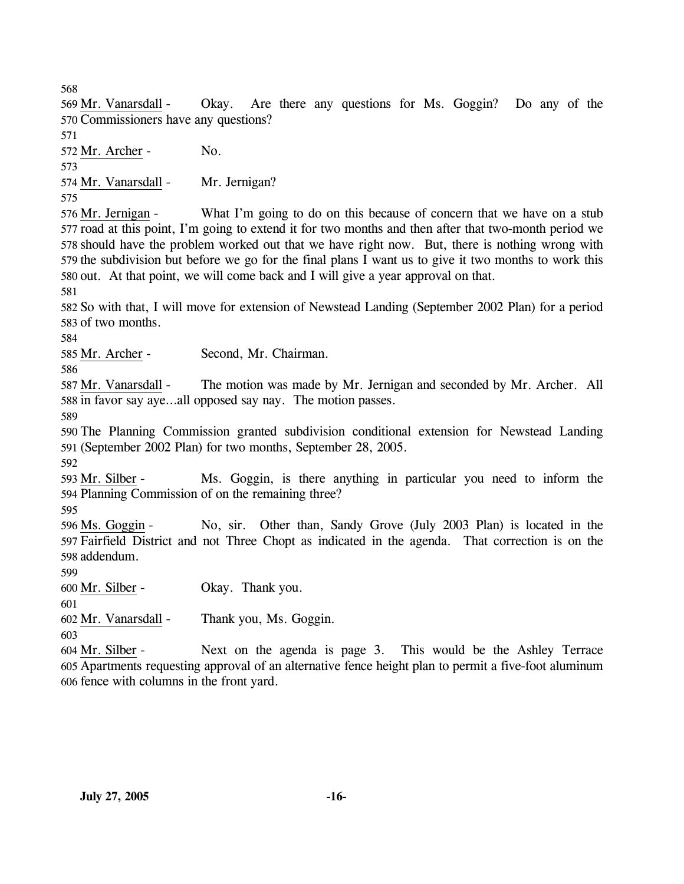568

Okay. Are there any questions for Ms. Goggin? Do any of the 570 Commissioners have any questions? 569 Mr. Vanarsdall -

571

572 Mr. Archer - No.

573

574 Mr. Vanarsdall - Mr. Jernigan?

575

What I'm going to do on this because of concern that we have on a stub 577 road at this point, I'm going to extend it for two months and then after that two-month period we 578 should have the problem worked out that we have right now. But, there is nothing wrong with 579 the subdivision but before we go for the final plans I want us to give it two months to work this 580 out. At that point, we will come back and I will give a year approval on that. 576 Mr. Jernigan -

581

582 So with that, I will move for extension of Newstead Landing (September 2002 Plan) for a period 583 of two months.

584

585 Mr. Archer - Second, Mr. Chairman.

586

The motion was made by Mr. Jernigan and seconded by Mr. Archer. All 588 in favor say aye...all opposed say nay. The motion passes. 587 Mr. Vanarsdall -

589

590 The Planning Commission granted subdivision conditional extension for Newstead Landing 591 (September 2002 Plan) for two months, September 28, 2005.

592

Ms. Goggin, is there anything in particular you need to inform the 594 Planning Commission of on the remaining three? 593 Mr. Silber -

595

No, sir. Other than, Sandy Grove (July 2003 Plan) is located in the 597 Fairfield District and not Three Chopt as indicated in the agenda. That correction is on the 598 addendum. 596 Ms. Goggin -

599

600 Mr. Silber - Okay. Thank you.

601

602 Mr. Vanarsdall - Thank you, Ms. Goggin.

603

Next on the agenda is page 3. This would be the Ashley Terrace Apartments requesting approval of an alternative fence height plan to permit a five-foot aluminum 605 606 fence with columns in the front yard. 604 Mr. Silber -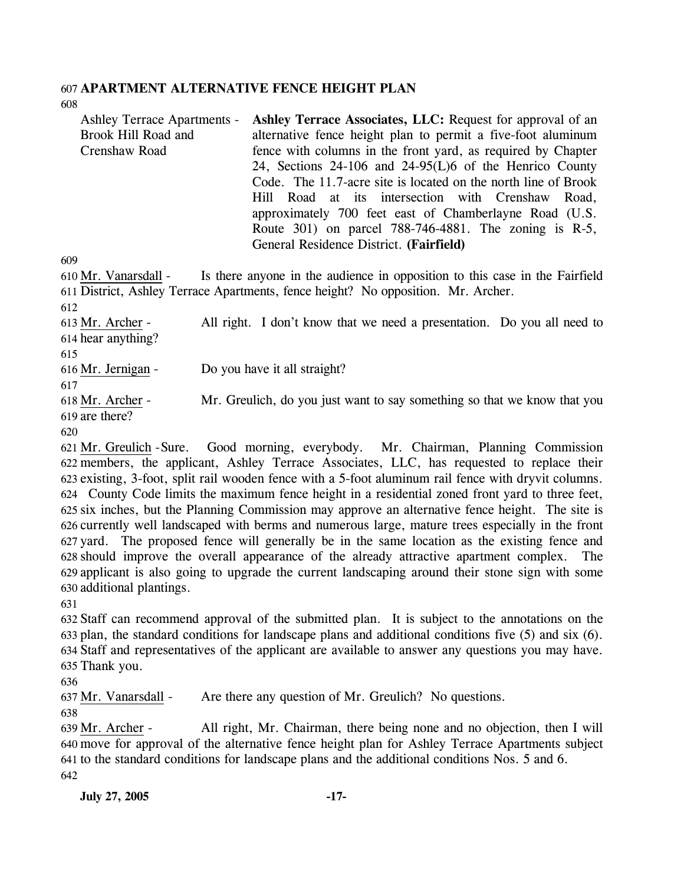# 607 **APARTMENT ALTERNATIVE FENCE HEIGHT PLAN**

608

| <b>Ashley Terrace Apartments -</b> | Ashley Terrace Associates, LLC: Request for approval of an     |
|------------------------------------|----------------------------------------------------------------|
| Brook Hill Road and                | alternative fence height plan to permit a five-foot aluminum   |
| Crenshaw Road                      | fence with columns in the front yard, as required by Chapter   |
|                                    | 24, Sections 24-106 and 24-95(L)6 of the Henrico County        |
|                                    | Code. The 11.7-acre site is located on the north line of Brook |
|                                    | Hill Road at its intersection with Crenshaw Road,              |
|                                    | approximately 700 feet east of Chamberlayne Road (U.S.         |
|                                    | Route 301) on parcel 788-746-4881. The zoning is R-5,          |
|                                    | General Residence District. (Fairfield)                        |

609

Is there anyone in the audience in opposition to this case in the Fairfield District, Ashley Terrace Apartments, fence height? No opposition. Mr. Archer. 611 610 Mr. Vanarsdall -612

All right. I don't know that we need a presentation. Do you all need to 614 hear anything? 613 Mr. Archer -

615

616 Mr. Jernigan - Do you have it all straight?

617

Mr. Greulich, do you just want to say something so that we know that you 619 are there? 618 Mr. Archer -

620

Good morning, everybody. Mr. Chairman, Planning Commission members, the applicant, Ashley Terrace Associates, LLC, has requested to replace their 622 623 existing, 3-foot, split rail wooden fence with a 5-foot aluminum rail fence with dryvit columns. County Code limits the maximum fence height in a residential zoned front yard to three feet, 624 625 six inches, but the Planning Commission may approve an alternative fence height. The site is 626 currently well landscaped with berms and numerous large, mature trees especially in the front 627 yard. The proposed fence will generally be in the same location as the existing fence and 628 should improve the overall appearance of the already attractive apartment complex. The 629 applicant is also going to upgrade the current landscaping around their stone sign with some 630 additional plantings. 621 Mr. Greulich - Sure.

631

 Staff can recommend approval of the submitted plan. It is subject to the annotations on the plan, the standard conditions for landscape plans and additional conditions five (5) and six (6). Staff and representatives of the applicant are available to answer any questions you may have. Thank you.

636

637 Mr. Vanarsdall - Are there any question of Mr. Greulich? No questions.

638

All right, Mr. Chairman, there being none and no objection, then I will move for approval of the alternative fence height plan for Ashley Terrace Apartments subject 640 641 to the standard conditions for landscape plans and the additional conditions Nos. 5 and 6. 639 Mr. Archer -642

**July 27, 2005 -17-**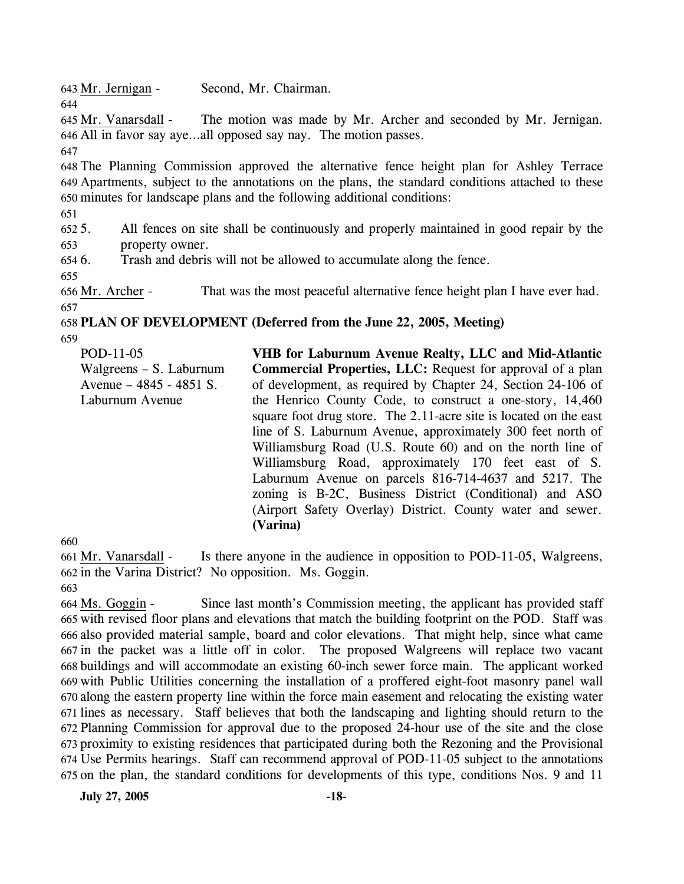643 Mr. Jernigan - Second, Mr. Chairman.

The motion was made by Mr. Archer and seconded by Mr. Jernigan. All in favor say aye…all opposed say nay. The motion passes. 646 645 Mr. Vanarsdall -

647

644

648 The Planning Commission approved the alternative fence height plan for Ashley Terrace 649 Apartments, subject to the annotations on the plans, the standard conditions attached to these 650 minutes for landscape plans and the following additional conditions:

651

 $652.5$ . 653 5. All fences on site shall be continuously and properly maintained in good repair by the property owner.

 $6546.$ Trash and debris will not be allowed to accumulate along the fence.

655

656 Mr. Archer - That was the most peaceful alternative fence height plan I have ever had. 657

# 658 **PLAN OF DEVELOPMENT (Deferred from the June 22, 2005, Meeting)**

659

POD-11-05 Walgreens – S. Laburnum Avenue – 4845 - 4851 S. Laburnum Avenue **VHB for Laburnum Avenue Realty, LLC and Mid-Atlantic Commercial Properties, LLC:** Request for approval of a plan of development, as required by Chapter 24, Section 24-106 of the Henrico County Code, to construct a one-story, 14,460 square foot drug store. The 2.11-acre site is located on the east line of S. Laburnum Avenue, approximately 300 feet north of Williamsburg Road (U.S. Route 60) and on the north line of Williamsburg Road, approximately 170 feet east of S. Laburnum Avenue on parcels 816-714-4637 and 5217. The zoning is B-2C, Business District (Conditional) and ASO (Airport Safety Overlay) District. County water and sewer. **(Varina)** 

660

Is there anyone in the audience in opposition to POD-11-05, Walgreens, 662 in the Varina District? No opposition. Ms. Goggin. 661 Mr. Vanarsdall -

663

Since last month's Commission meeting, the applicant has provided staff 665 with revised floor plans and elevations that match the building footprint on the POD. Staff was 666 also provided material sample, board and color elevations. That might help, since what came 667 in the packet was a little off in color. The proposed Walgreens will replace two vacant buildings and will accommodate an existing 60-inch sewer force main. The applicant worked 668 669 with Public Utilities concerning the installation of a proffered eight-foot masonry panel wall 670 along the eastern property line within the force main easement and relocating the existing water 671 lines as necessary. Staff believes that both the landscaping and lighting should return to the 672 Planning Commission for approval due to the proposed 24-hour use of the site and the close 673 proximity to existing residences that participated during both the Rezoning and the Provisional Use Permits hearings. Staff can recommend approval of POD-11-05 subject to the annotations 674 675 on the plan, the standard conditions for developments of this type, conditions Nos. 9 and 11 664 Ms. Goggin -

**July 27, 2005 -18-**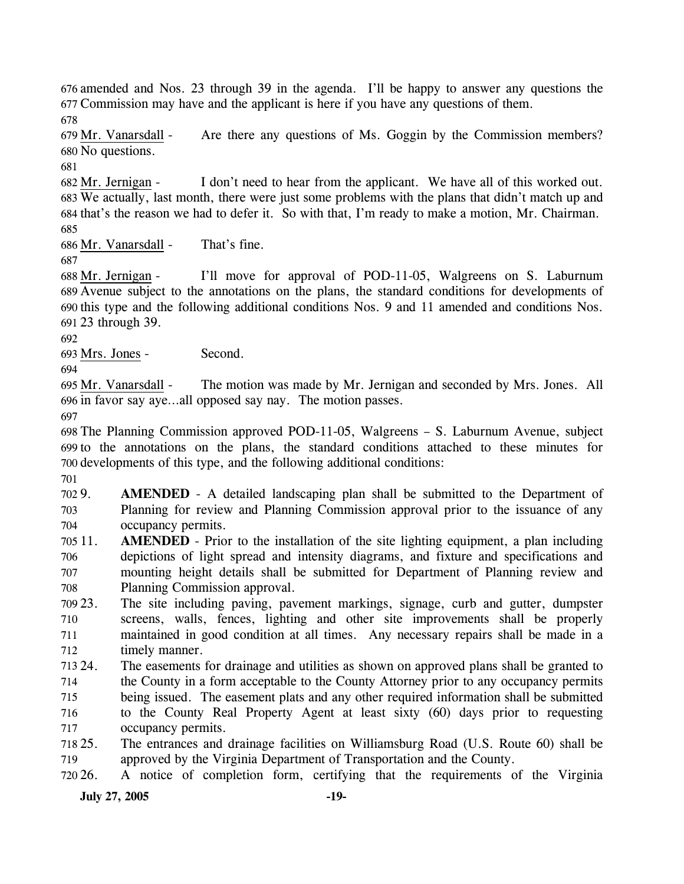676 amended and Nos. 23 through 39 in the agenda. I'll be happy to answer any questions the 677 Commission may have and the applicant is here if you have any questions of them.

678

Are there any questions of Ms. Goggin by the Commission members? 680 No questions. 679 Mr. Vanarsdall -

681

I don't need to hear from the applicant. We have all of this worked out. We actually, last month, there were just some problems with the plans that didn't match up and 683 684 that's the reason we had to defer it. So with that, I'm ready to make a motion, Mr. Chairman. 682 Mr. Jernigan -

685

686 Mr. Vanarsdall - That's fine.

687

I'll move for approval of POD-11-05, Walgreens on S. Laburnum Avenue subject to the annotations on the plans, the standard conditions for developments of 689 690 this type and the following additional conditions Nos. 9 and 11 amended and conditions Nos. 23 through 39. 691 688 Mr. Jernigan -

692

693 Mrs. Jones - Second.

694

The motion was made by Mr. Jernigan and seconded by Mrs. Jones. All 696 in favor say aye...all opposed say nay. The motion passes. 695 Mr. Vanarsdall -

697

698 The Planning Commission approved POD-11-05, Walgreens – S. Laburnum Avenue, subject 699 to the annotations on the plans, the standard conditions attached to these minutes for 700 developments of this type, and the following additional conditions:

701

702.9 703 704 **AMENDED** - A detailed landscaping plan shall be submitted to the Department of Planning for review and Planning Commission approval prior to the issuance of any occupancy permits.

705 11. 706 707 708 **AMENDED** - Prior to the installation of the site lighting equipment, a plan including depictions of light spread and intensity diagrams, and fixture and specifications and mounting height details shall be submitted for Department of Planning review and Planning Commission approval.

709 23. 710 711 712 The site including paving, pavement markings, signage, curb and gutter, dumpster screens, walls, fences, lighting and other site improvements shall be properly maintained in good condition at all times. Any necessary repairs shall be made in a timely manner.

713 24 714 715 716 717 24. The easements for drainage and utilities as shown on approved plans shall be granted to the County in a form acceptable to the County Attorney prior to any occupancy permits being issued. The easement plats and any other required information shall be submitted to the County Real Property Agent at least sixty (60) days prior to requesting occupancy permits.

718 25. 719 25. The entrances and drainage facilities on Williamsburg Road (U.S. Route 60) shall be approved by the Virginia Department of Transportation and the County.

720 26. 26. A notice of completion form, certifying that the requirements of the Virginia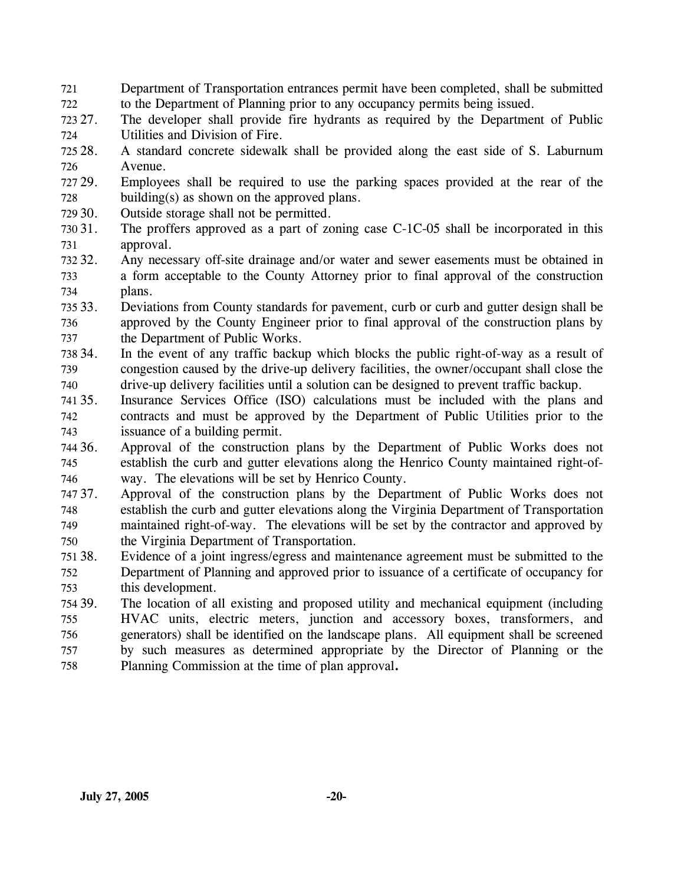- 721 722 Department of Transportation entrances permit have been completed, shall be submitted to the Department of Planning prior to any occupancy permits being issued.
- 723 27. 724 The developer shall provide fire hydrants as required by the Department of Public Utilities and Division of Fire.
- 725 28. 726 28. A standard concrete sidewalk shall be provided along the east side of S. Laburnum Avenue.
- 727 29. 728 Employees shall be required to use the parking spaces provided at the rear of the building(s) as shown on the approved plans.
- 729 30. Outside storage shall not be permitted.
- 730 31. 731 The proffers approved as a part of zoning case C-1C-05 shall be incorporated in this approval.
- 732.32. 733 734 Any necessary off-site drainage and/or water and sewer easements must be obtained in a form acceptable to the County Attorney prior to final approval of the construction plans.
- 735 33. 736 737 33. Deviations from County standards for pavement, curb or curb and gutter design shall be approved by the County Engineer prior to final approval of the construction plans by the Department of Public Works.
- 738 739 740 In the event of any traffic backup which blocks the public right-of-way as a result of congestion caused by the drive-up delivery facilities, the owner/occupant shall close the drive-up delivery facilities until a solution can be designed to prevent traffic backup.
- 741 35. 742 743 Insurance Services Office (ISO) calculations must be included with the plans and contracts and must be approved by the Department of Public Utilities prior to the issuance of a building permit.
- 744 36. 745 746 Approval of the construction plans by the Department of Public Works does not establish the curb and gutter elevations along the Henrico County maintained right-ofway. The elevations will be set by Henrico County.
- 747 37. 748 749 750 Approval of the construction plans by the Department of Public Works does not establish the curb and gutter elevations along the Virginia Department of Transportation maintained right-of-way. The elevations will be set by the contractor and approved by the Virginia Department of Transportation.
- 751 38. 752 753 Evidence of a joint ingress/egress and maintenance agreement must be submitted to the Department of Planning and approved prior to issuance of a certificate of occupancy for this development.
- 754 39. 755 756 757 758 The location of all existing and proposed utility and mechanical equipment (including HVAC units, electric meters, junction and accessory boxes, transformers, and generators) shall be identified on the landscape plans. All equipment shall be screened by such measures as determined appropriate by the Director of Planning or the Planning Commission at the time of plan approval**.**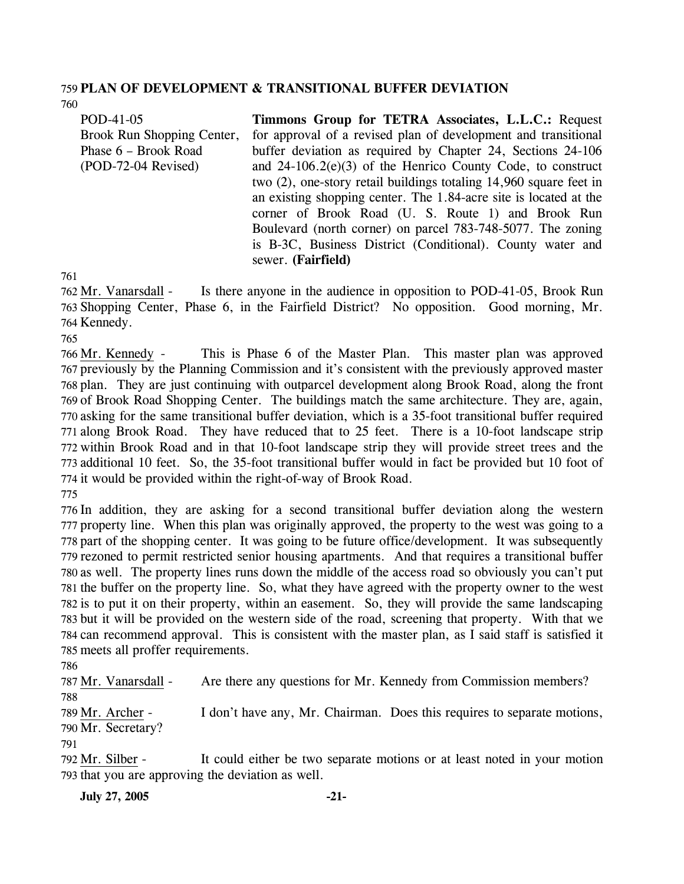#### 759 **PLAN OF DEVELOPMENT & TRANSITIONAL BUFFER DEVIATION**  760

POD-41-05 Brook Run Shopping Center, Phase 6 – Brook Road (POD-72-04 Revised) **Timmons Group for TETRA Associates, L.L.C.:** Request for approval of a revised plan of development and transitional buffer deviation as required by Chapter 24, Sections 24-106 and 24-106.2(e)(3) of the Henrico County Code, to construct two (2), one-story retail buildings totaling 14,960 square feet in an existing shopping center. The 1.84-acre site is located at the corner of Brook Road (U. S. Route 1) and Brook Run Boulevard (north corner) on parcel 783-748-5077. The zoning is B-3C, Business District (Conditional). County water and sewer. **(Fairfield)** 

761

Is there anyone in the audience in opposition to POD-41-05, Brook Run 763 Shopping Center, Phase 6, in the Fairfield District? No opposition. Good morning, Mr. 764 Kennedy. 762 Mr. Vanarsdall -

765

This is Phase 6 of the Master Plan. This master plan was approved 767 previously by the Planning Commission and it's consistent with the previously approved master 768 plan. They are just continuing with outparcel development along Brook Road, along the front 769 of Brook Road Shopping Center. The buildings match the same architecture. They are, again, 770 asking for the same transitional buffer deviation, which is a 35-foot transitional buffer required 771 along Brook Road. They have reduced that to 25 feet. There is a 10-foot landscape strip 772 within Brook Road and in that 10-foot landscape strip they will provide street trees and the 773 additional 10 feet. So, the 35-foot transitional buffer would in fact be provided but 10 foot of 774 it would be provided within the right-of-way of Brook Road. 766 Mr. Kennedy -

775

 In addition, they are asking for a second transitional buffer deviation along the western property line. When this plan was originally approved, the property to the west was going to a part of the shopping center. It was going to be future office/development. It was subsequently rezoned to permit restricted senior housing apartments. And that requires a transitional buffer as well. The property lines runs down the middle of the access road so obviously you can't put the buffer on the property line. So, what they have agreed with the property owner to the west is to put it on their property, within an easement. So, they will provide the same landscaping but it will be provided on the western side of the road, screening that property. With that we can recommend approval. This is consistent with the master plan, as I said staff is satisfied it meets all proffer requirements.

786

787 Mr. Vanarsdall - Are there any questions for Mr. Kennedy from Commission members?

788

I don't have any, Mr. Chairman. Does this requires to separate motions, 789 Mr. Archer -

790 Mr. Secretary?

791

It could either be two separate motions or at least noted in your motion 793 that you are approving the deviation as well. 792 Mr. Silber -

**July 27, 2005 -21-**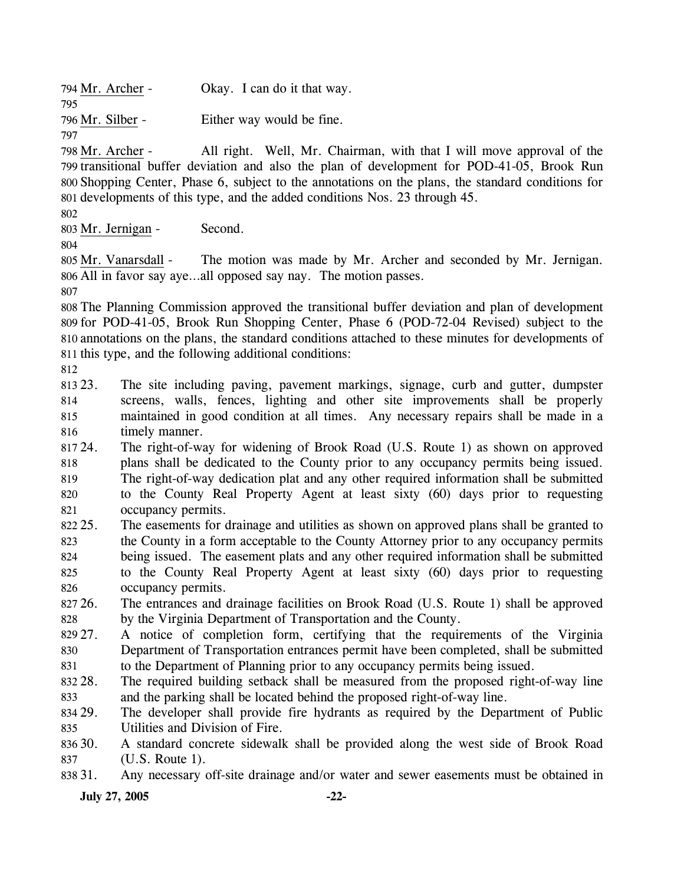| 794 Mr. Archer - | Okay. I can do it that way. |
|------------------|-----------------------------|
| 795              |                             |
| 796 Mr. Silber - | Either way would be fine.   |
| 797              |                             |

All right. Well, Mr. Chairman, with that I will move approval of the 799 transitional buffer deviation and also the plan of development for POD-41-05, Brook Run Shopping Center, Phase 6, subject to the annotations on the plans, the standard conditions for 800 801 developments of this type, and the added conditions Nos. 23 through 45. 798 Mr. Archer -

802

803 Mr. Jernigan - Second.

804

The motion was made by Mr. Archer and seconded by Mr. Jernigan. All in favor say aye…all opposed say nay. The motion passes. 806 805 Mr. Vanarsdall -

807

 The Planning Commission approved the transitional buffer deviation and plan of development for POD-41-05, Brook Run Shopping Center, Phase 6 (POD-72-04 Revised) subject to the annotations on the plans, the standard conditions attached to these minutes for developments of this type, and the following additional conditions:

812

813 23. 814 815 816 23. The site including paving, pavement markings, signage, curb and gutter, dumpster screens, walls, fences, lighting and other site improvements shall be properly maintained in good condition at all times. Any necessary repairs shall be made in a timely manner.

817 24. 818 819 820 821 The right-of-way for widening of Brook Road (U.S. Route 1) as shown on approved plans shall be dedicated to the County prior to any occupancy permits being issued. The right-of-way dedication plat and any other required information shall be submitted to the County Real Property Agent at least sixty (60) days prior to requesting occupancy permits.

822 25. 823 824 825 826 25. The easements for drainage and utilities as shown on approved plans shall be granted to the County in a form acceptable to the County Attorney prior to any occupancy permits being issued. The easement plats and any other required information shall be submitted to the County Real Property Agent at least sixty (60) days prior to requesting occupancy permits.

827 26. 828 26. The entrances and drainage facilities on Brook Road (U.S. Route 1) shall be approved by the Virginia Department of Transportation and the County.

829 27. 830 831 27. A notice of completion form, certifying that the requirements of the Virginia Department of Transportation entrances permit have been completed, shall be submitted to the Department of Planning prior to any occupancy permits being issued.

832 28. 833 The required building setback shall be measured from the proposed right-of-way line and the parking shall be located behind the proposed right-of-way line.

834 29. 835 The developer shall provide fire hydrants as required by the Department of Public Utilities and Division of Fire.

836 30. 837 30. A standard concrete sidewalk shall be provided along the west side of Brook Road (U.S. Route 1).

838 31. Any necessary off-site drainage and/or water and sewer easements must be obtained in

**July 27, 2005 -22-**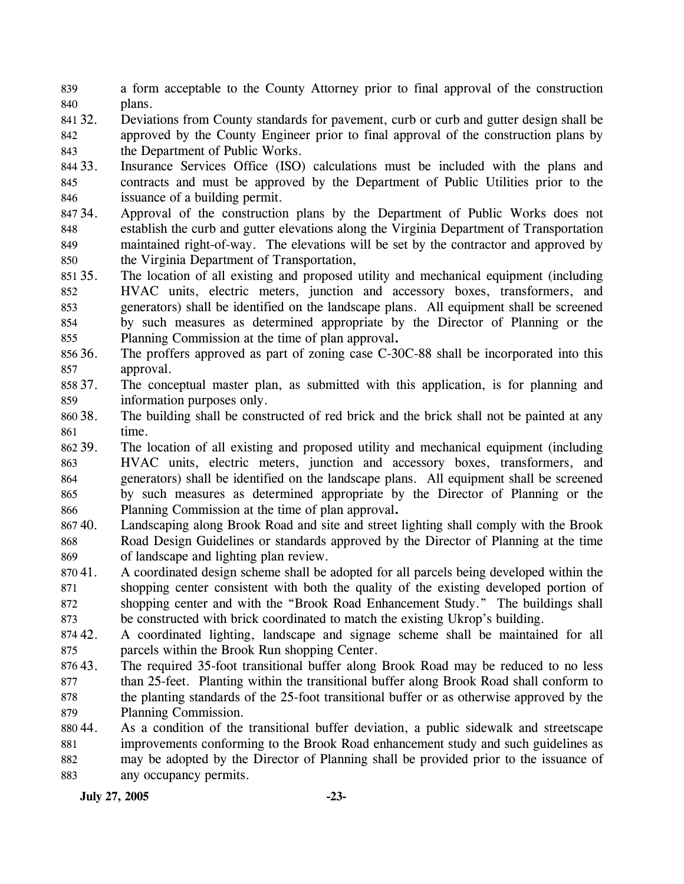- 839 840 a form acceptable to the County Attorney prior to final approval of the construction plans.
- 841 32. 842 843 32. Deviations from County standards for pavement, curb or curb and gutter design shall be approved by the County Engineer prior to final approval of the construction plans by the Department of Public Works.
- 844 33. 845 846 Insurance Services Office (ISO) calculations must be included with the plans and contracts and must be approved by the Department of Public Utilities prior to the issuance of a building permit.
- 847 34. 848 849 850 Approval of the construction plans by the Department of Public Works does not establish the curb and gutter elevations along the Virginia Department of Transportation maintained right-of-way. The elevations will be set by the contractor and approved by the Virginia Department of Transportation,
- 851 35. 852 853 854 855 The location of all existing and proposed utility and mechanical equipment (including HVAC units, electric meters, junction and accessory boxes, transformers, and generators) shall be identified on the landscape plans. All equipment shall be screened by such measures as determined appropriate by the Director of Planning or the Planning Commission at the time of plan approval**.**
- 856 36. 857 The proffers approved as part of zoning case C-30C-88 shall be incorporated into this approval.
- 858 37. 859 The conceptual master plan, as submitted with this application, is for planning and information purposes only.
- 860 38. 861 The building shall be constructed of red brick and the brick shall not be painted at any time.
- 862 39. 863 864 865 866 39. The location of all existing and proposed utility and mechanical equipment (including HVAC units, electric meters, junction and accessory boxes, transformers, and generators) shall be identified on the landscape plans. All equipment shall be screened by such measures as determined appropriate by the Director of Planning or the Planning Commission at the time of plan approval**.**
- 86740. 868 869 Landscaping along Brook Road and site and street lighting shall comply with the Brook Road Design Guidelines or standards approved by the Director of Planning at the time of landscape and lighting plan review.
- 870 41. 871 872 873 41. A coordinated design scheme shall be adopted for all parcels being developed within the shopping center consistent with both the quality of the existing developed portion of shopping center and with the "Brook Road Enhancement Study." The buildings shall be constructed with brick coordinated to match the existing Ukrop's building.
- 874 42. 875 42. A coordinated lighting, landscape and signage scheme shall be maintained for all parcels within the Brook Run shopping Center.
- 87643. 877 878 879 The required 35-foot transitional buffer along Brook Road may be reduced to no less than 25-feet. Planting within the transitional buffer along Brook Road shall conform to the planting standards of the 25-foot transitional buffer or as otherwise approved by the Planning Commission.
- 88044. 881 882 883 As a condition of the transitional buffer deviation, a public sidewalk and streetscape improvements conforming to the Brook Road enhancement study and such guidelines as may be adopted by the Director of Planning shall be provided prior to the issuance of any occupancy permits.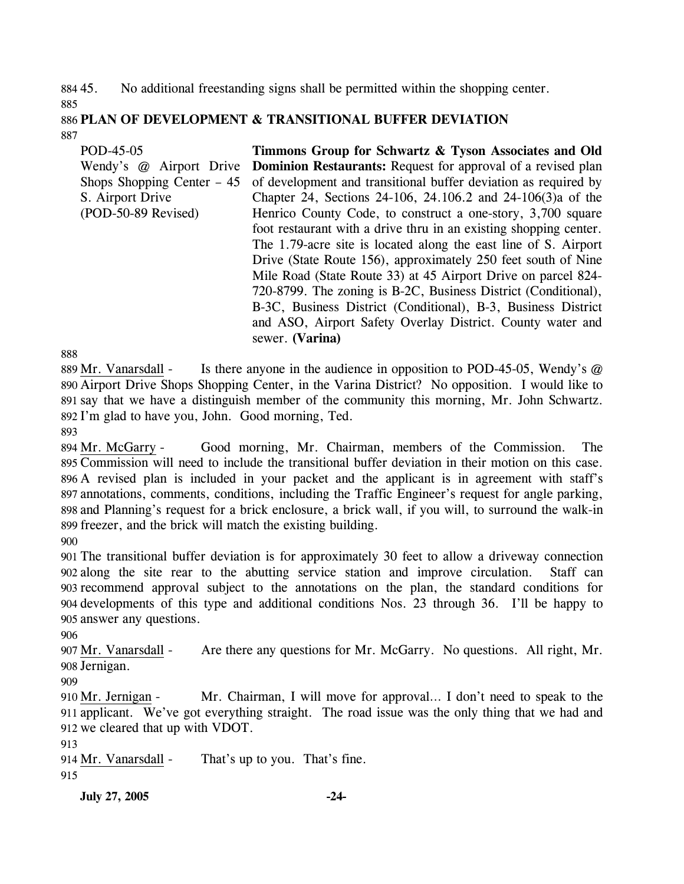884 45. 885 45. No additional freestanding signs shall be permitted within the shopping center.

886 **PLAN OF DEVELOPMENT & TRANSITIONAL BUFFER DEVIATION**  887

POD-45-05 Wendy's @ Airport Drive Shops Shopping Center – 45 S. Airport Drive (POD-50-89 Revised) **Timmons Group for Schwartz & Tyson Associates and Old Dominion Restaurants:** Request for approval of a revised plan of development and transitional buffer deviation as required by Chapter 24, Sections 24-106, 24.106.2 and 24-106(3)a of the Henrico County Code, to construct a one-story, 3,700 square foot restaurant with a drive thru in an existing shopping center. The 1.79-acre site is located along the east line of S. Airport Drive (State Route 156), approximately 250 feet south of Nine Mile Road (State Route 33) at 45 Airport Drive on parcel 824- 720-8799. The zoning is B-2C, Business District (Conditional), B-3C, Business District (Conditional), B-3, Business District and ASO, Airport Safety Overlay District. County water and sewer. **(Varina)** 

888

Is there anyone in the audience in opposition to POD-45-05, Wendy's  $\omega$ 890 Airport Drive Shops Shopping Center, in the Varina District? No opposition. I would like to 891 say that we have a distinguish member of the community this morning, Mr. John Schwartz. 892 I'm glad to have you, John. Good morning, Ted. 889 Mr. Vanarsdall -

893

Good morning, Mr. Chairman, members of the Commission. The 895 Commission will need to include the transitional buffer deviation in their motion on this case. 896 A revised plan is included in your packet and the applicant is in agreement with staff's annotations, comments, conditions, including the Traffic Engineer's request for angle parking, 897 898 and Planning's request for a brick enclosure, a brick wall, if you will, to surround the walk-in 899 freezer, and the brick will match the existing building. 894 Mr. McGarry -

900

 The transitional buffer deviation is for approximately 30 feet to allow a driveway connection along the site rear to the abutting service station and improve circulation. Staff can recommend approval subject to the annotations on the plan, the standard conditions for developments of this type and additional conditions Nos. 23 through 36. I'll be happy to answer any questions.

906

Are there any questions for Mr. McGarry. No questions. All right, Mr. 908 Jernigan. 907 Mr. Vanarsdall -

909

Mr. Chairman, I will move for approval... I don't need to speak to the 911 applicant. We've got everything straight. The road issue was the only thing that we had and 912 we cleared that up with VDOT. 910 Mr. Jernigan -

913

914 Mr. Vanarsdall - That's up to you. That's fine. 915

**July 27, 2005 -24-**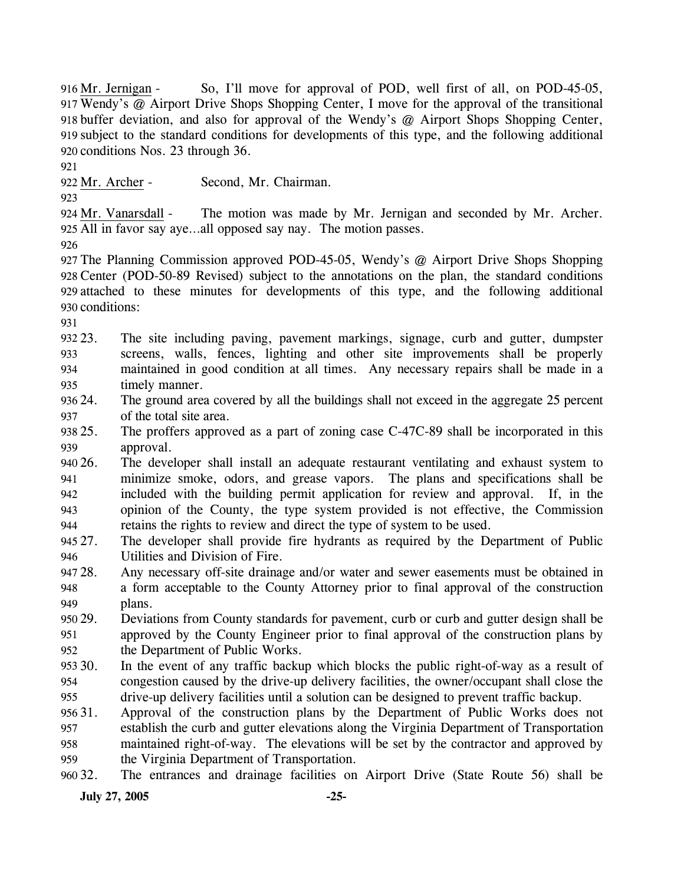So, I'll move for approval of POD, well first of all, on POD-45-05, Wendy's @ Airport Drive Shops Shopping Center, I move for the approval of the transitional 917 918 buffer deviation, and also for approval of the Wendy's @ Airport Shops Shopping Center, 919 subject to the standard conditions for developments of this type, and the following additional 920 conditions Nos. 23 through 36. 916 Mr. Jernigan -

921

922 Mr. Archer - Second, Mr. Chairman.

923

The motion was made by Mr. Jernigan and seconded by Mr. Archer. 925 All in favor say aye...all opposed say nay. The motion passes. 924 Mr. Vanarsdall -

926

 The Planning Commission approved POD-45-05, Wendy's @ Airport Drive Shops Shopping Center (POD-50-89 Revised) subject to the annotations on the plan, the standard conditions attached to these minutes for developments of this type, and the following additional conditions:

931

932 23. 933 934 935 The site including paving, pavement markings, signage, curb and gutter, dumpster screens, walls, fences, lighting and other site improvements shall be properly maintained in good condition at all times. Any necessary repairs shall be made in a timely manner.

936 24. 937 The ground area covered by all the buildings shall not exceed in the aggregate 25 percent of the total site area.

938 25. 939 The proffers approved as a part of zoning case C-47C-89 shall be incorporated in this approval.

940 26. 941 942 943 944 26. The developer shall install an adequate restaurant ventilating and exhaust system to minimize smoke, odors, and grease vapors. The plans and specifications shall be included with the building permit application for review and approval. If, in the opinion of the County, the type system provided is not effective, the Commission retains the rights to review and direct the type of system to be used.

945 27. 946 The developer shall provide fire hydrants as required by the Department of Public Utilities and Division of Fire.

947 28. 948 949 Any necessary off-site drainage and/or water and sewer easements must be obtained in a form acceptable to the County Attorney prior to final approval of the construction plans.

950 29. 951 952 Deviations from County standards for pavement, curb or curb and gutter design shall be approved by the County Engineer prior to final approval of the construction plans by the Department of Public Works.

953 30. 954 955 In the event of any traffic backup which blocks the public right-of-way as a result of congestion caused by the drive-up delivery facilities, the owner/occupant shall close the drive-up delivery facilities until a solution can be designed to prevent traffic backup.

956 31. 957 958 959 31. Approval of the construction plans by the Department of Public Works does not establish the curb and gutter elevations along the Virginia Department of Transportation maintained right-of-way. The elevations will be set by the contractor and approved by the Virginia Department of Transportation.

960 32. 32. The entrances and drainage facilities on Airport Drive (State Route 56) shall be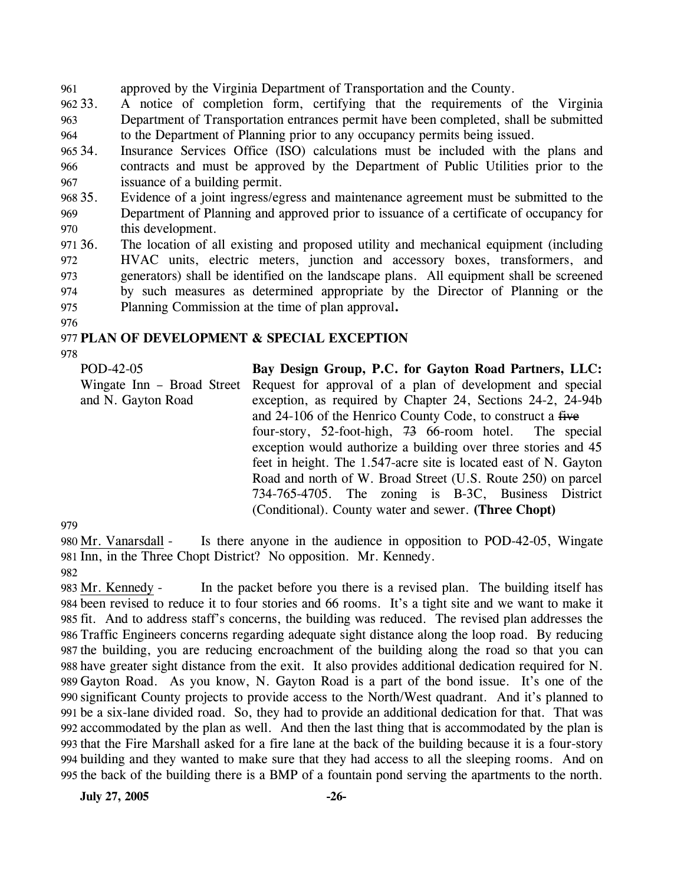961 approved by the Virginia Department of Transportation and the County.

962.33. 963 964 33. A notice of completion form, certifying that the requirements of the Virginia Department of Transportation entrances permit have been completed, shall be submitted to the Department of Planning prior to any occupancy permits being issued.

965 34. 966 967 Insurance Services Office (ISO) calculations must be included with the plans and contracts and must be approved by the Department of Public Utilities prior to the issuance of a building permit.

968 35. 969 970 Evidence of a joint ingress/egress and maintenance agreement must be submitted to the Department of Planning and approved prior to issuance of a certificate of occupancy for this development.

971 36. 972 973 974 975 36. The location of all existing and proposed utility and mechanical equipment (including HVAC units, electric meters, junction and accessory boxes, transformers, and generators) shall be identified on the landscape plans. All equipment shall be screened by such measures as determined appropriate by the Director of Planning or the Planning Commission at the time of plan approval**.**

976

### 977 **PLAN OF DEVELOPMENT & SPECIAL EXCEPTION**

978

POD-42-05 Wingate Inn – Broad Street Request for approval of a plan of development and special and N. Gayton Road **Bay Design Group, P.C. for Gayton Road Partners, LLC:**  exception, as required by Chapter 24, Sections 24-2, 24-94b and 24-106 of the Henrico County Code, to construct a five four-story, 52-foot-high, 73 66-room hotel. The special exception would authorize a building over three stories and 45 feet in height. The 1.547-acre site is located east of N. Gayton Road and north of W. Broad Street (U.S. Route 250) on parcel 734-765-4705. The zoning is B-3C, Business District (Conditional). County water and sewer. **(Three Chopt)** 

979

Is there anyone in the audience in opposition to POD-42-05, Wingate 981 Inn, in the Three Chopt District? No opposition. Mr. Kennedy. 980 Mr. Vanarsdall -982

In the packet before you there is a revised plan. The building itself has been revised to reduce it to four stories and 66 rooms. It's a tight site and we want to make it 984 985 fit. And to address staff's concerns, the building was reduced. The revised plan addresses the Traffic Engineers concerns regarding adequate sight distance along the loop road. By reducing 986 987 the building, you are reducing encroachment of the building along the road so that you can 988 have greater sight distance from the exit. It also provides additional dedication required for N. 989 Gayton Road. As you know, N. Gayton Road is a part of the bond issue. It's one of the 990 significant County projects to provide access to the North/West quadrant. And it's planned to be a six-lane divided road. So, they had to provide an additional dedication for that. That was 991 accommodated by the plan as well. And then the last thing that is accommodated by the plan is 992 993 that the Fire Marshall asked for a fire lane at the back of the building because it is a four-story building and they wanted to make sure that they had access to all the sleeping rooms. And on 994 995 the back of the building there is a BMP of a fountain pond serving the apartments to the north. 983 Mr. Kennedy -

**July 27, 2005 -26-**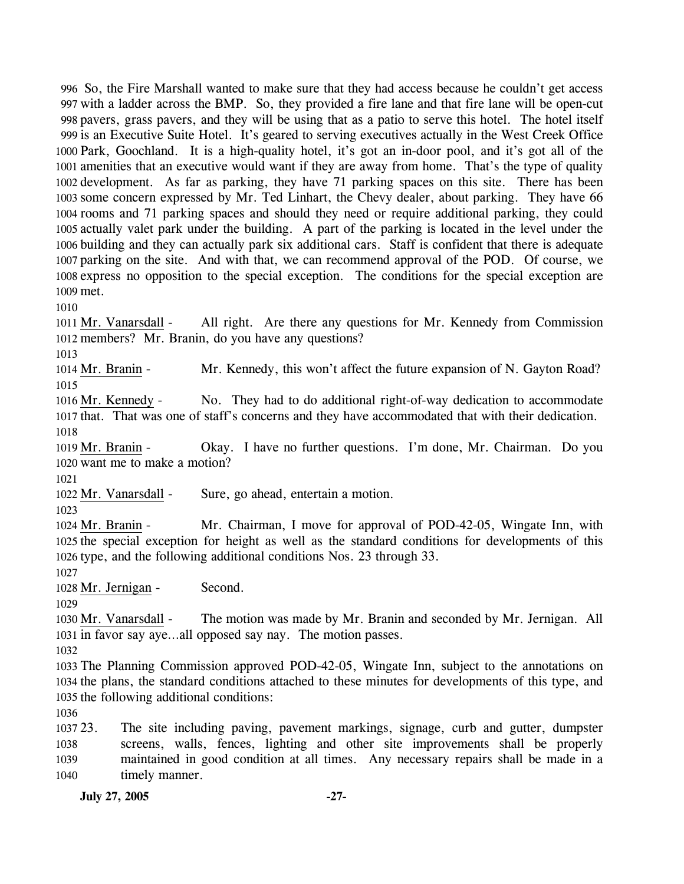So, the Fire Marshall wanted to make sure that they had access because he couldn't get access with a ladder across the BMP. So, they provided a fire lane and that fire lane will be open-cut pavers, grass pavers, and they will be using that as a patio to serve this hotel. The hotel itself is an Executive Suite Hotel. It's geared to serving executives actually in the West Creek Office Park, Goochland. It is a high-quality hotel, it's got an in-door pool, and it's got all of the amenities that an executive would want if they are away from home. That's the type of quality development. As far as parking, they have 71 parking spaces on this site. There has been some concern expressed by Mr. Ted Linhart, the Chevy dealer, about parking. They have 66 rooms and 71 parking spaces and should they need or require additional parking, they could actually valet park under the building. A part of the parking is located in the level under the building and they can actually park six additional cars. Staff is confident that there is adequate parking on the site. And with that, we can recommend approval of the POD. Of course, we express no opposition to the special exception. The conditions for the special exception are 1009 met.

1010

All right. Are there any questions for Mr. Kennedy from Commission 1012 members? Mr. Branin, do you have any questions? 1011 Mr. Vanarsdall -

1013

1014 Mr. Branin - Mr. Kennedy, this won't affect the future expansion of N. Gayton Road? 1015

No. They had to do additional right-of-way dedication to accommodate 1017 that. That was one of staff's concerns and they have accommodated that with their dedication. 1016 Mr. Kennedy -1018

Okay. I have no further questions. I'm done, Mr. Chairman. Do you 1020 want me to make a motion? 1019 Mr. Branin -

1021

1022 Mr. Vanarsdall - Sure, go ahead, entertain a motion.

1023

Mr. Chairman, I move for approval of POD-42-05, Wingate Inn, with 1025 the special exception for height as well as the standard conditions for developments of this 1026 type, and the following additional conditions Nos. 23 through 33. 1024 Mr. Branin -

1027

1028 Mr. Jernigan - Second.

1029

The motion was made by Mr. Branin and seconded by Mr. Jernigan. All 1031 in favor say aye...all opposed say nay. The motion passes. 1030 Mr. Vanarsdall -

1032

1033 The Planning Commission approved POD-42-05, Wingate Inn, subject to the annotations on 1034 the plans, the standard conditions attached to these minutes for developments of this type, and 1035 the following additional conditions:

1036

 $103723.$ 1038 1039 1040 The site including paving, pavement markings, signage, curb and gutter, dumpster screens, walls, fences, lighting and other site improvements shall be properly maintained in good condition at all times. Any necessary repairs shall be made in a timely manner.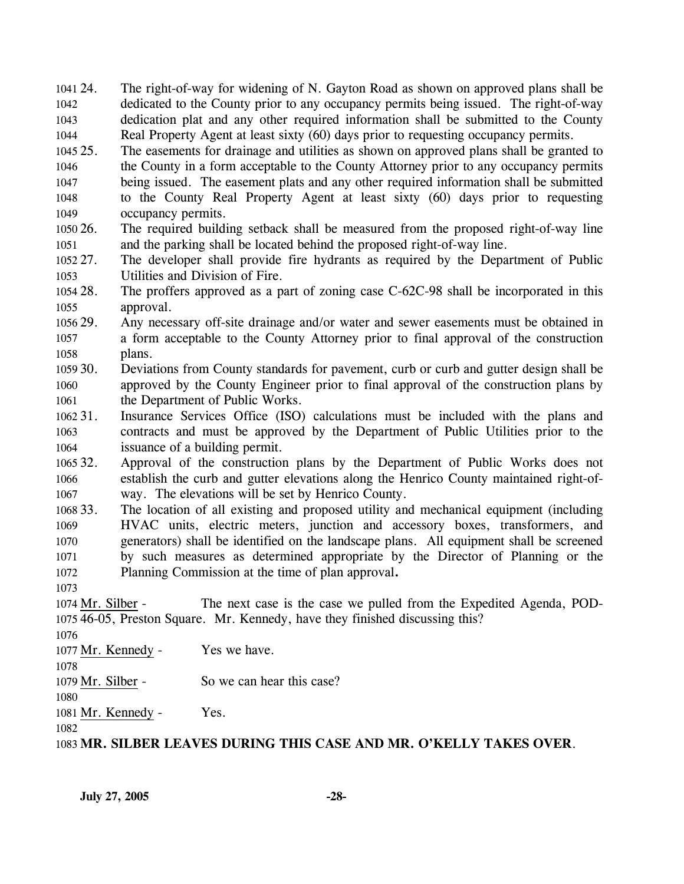1041 24. 1042 1043 1044 The right-of-way for widening of N. Gayton Road as shown on approved plans shall be dedicated to the County prior to any occupancy permits being issued. The right-of-way dedication plat and any other required information shall be submitted to the County Real Property Agent at least sixty (60) days prior to requesting occupancy permits.

 $1045.25$ 1046 1047 1048 1049 25. The easements for drainage and utilities as shown on approved plans shall be granted to the County in a form acceptable to the County Attorney prior to any occupancy permits being issued. The easement plats and any other required information shall be submitted to the County Real Property Agent at least sixty (60) days prior to requesting occupancy permits.

1050 26. 1051 26. The required building setback shall be measured from the proposed right-of-way line and the parking shall be located behind the proposed right-of-way line.

1052 27. 1053 The developer shall provide fire hydrants as required by the Department of Public Utilities and Division of Fire.

1054 28. 1055 The proffers approved as a part of zoning case  $C$ -62C-98 shall be incorporated in this approval.

1056 29. 1057 1058 Any necessary off-site drainage and/or water and sewer easements must be obtained in a form acceptable to the County Attorney prior to final approval of the construction plans.

1059 30. 1060 1061 Deviations from County standards for pavement, curb or curb and gutter design shall be approved by the County Engineer prior to final approval of the construction plans by the Department of Public Works.

1062 31. 1063 1064 Insurance Services Office (ISO) calculations must be included with the plans and contracts and must be approved by the Department of Public Utilities prior to the issuance of a building permit.

1065 32. 1066 1067 Approval of the construction plans by the Department of Public Works does not establish the curb and gutter elevations along the Henrico County maintained right-ofway. The elevations will be set by Henrico County.

1068 33. 1069 1070 1071 1072 The location of all existing and proposed utility and mechanical equipment (including HVAC units, electric meters, junction and accessory boxes, transformers, and generators) shall be identified on the landscape plans. All equipment shall be screened by such measures as determined appropriate by the Director of Planning or the Planning Commission at the time of plan approval**.**

1073

The next case is the case we pulled from the Expedited Agenda, POD-46-05, Preston Square. Mr. Kennedy, have they finished discussing this? 1075 1074 Mr. Silber -

1076

1077 Mr. Kennedy - Yes we have.

1078

1079 Mr. Silber - So we can hear this case?

1080 1081 Mr. Kennedy - Yes.

1082

1083 **MR. SILBER LEAVES DURING THIS CASE AND MR. O'KELLY TAKES OVER**.

**July 27, 2005 -28-**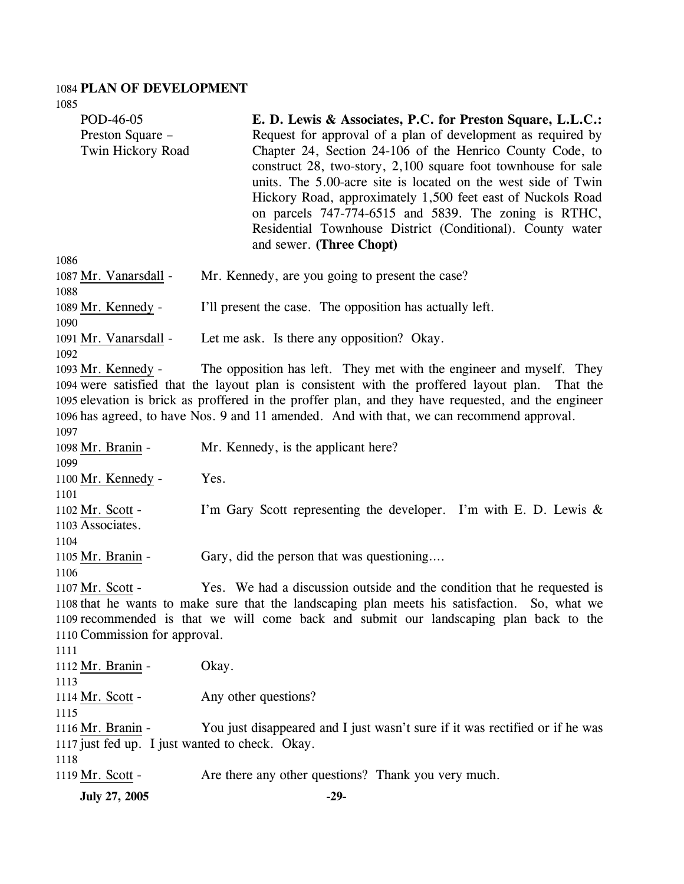#### 1084 **PLAN OF DEVELOPMENT**

| 1085                                                                                                                                                                                                                                                                                                                                                                                                 |                                                                                                                                                                                                                                                                                                                                                                                                                                                                                                                                             |  |  |  |
|------------------------------------------------------------------------------------------------------------------------------------------------------------------------------------------------------------------------------------------------------------------------------------------------------------------------------------------------------------------------------------------------------|---------------------------------------------------------------------------------------------------------------------------------------------------------------------------------------------------------------------------------------------------------------------------------------------------------------------------------------------------------------------------------------------------------------------------------------------------------------------------------------------------------------------------------------------|--|--|--|
| POD-46-05<br>Preston Square -<br>Twin Hickory Road                                                                                                                                                                                                                                                                                                                                                   | E. D. Lewis & Associates, P.C. for Preston Square, L.L.C.:<br>Request for approval of a plan of development as required by<br>Chapter 24, Section 24-106 of the Henrico County Code, to<br>construct 28, two-story, 2,100 square foot townhouse for sale<br>units. The 5.00-acre site is located on the west side of Twin<br>Hickory Road, approximately 1,500 feet east of Nuckols Road<br>on parcels 747-774-6515 and 5839. The zoning is RTHC,<br>Residential Townhouse District (Conditional). County water<br>and sewer. (Three Chopt) |  |  |  |
| 1086<br>1087 Mr. Vanarsdall -<br>1088                                                                                                                                                                                                                                                                                                                                                                | Mr. Kennedy, are you going to present the case?                                                                                                                                                                                                                                                                                                                                                                                                                                                                                             |  |  |  |
| 1089 Mr. Kennedy -<br>1090                                                                                                                                                                                                                                                                                                                                                                           | I'll present the case. The opposition has actually left.                                                                                                                                                                                                                                                                                                                                                                                                                                                                                    |  |  |  |
| 1091 Mr. Vanarsdall -<br>1092                                                                                                                                                                                                                                                                                                                                                                        | Let me ask. Is there any opposition? Okay.                                                                                                                                                                                                                                                                                                                                                                                                                                                                                                  |  |  |  |
| The opposition has left. They met with the engineer and myself. They<br>1093 Mr. Kennedy -<br>1094 were satisfied that the layout plan is consistent with the proffered layout plan.<br>That the<br>1095 elevation is brick as proffered in the proffer plan, and they have requested, and the engineer<br>1096 has agreed, to have Nos. 9 and 11 amended. And with that, we can recommend approval. |                                                                                                                                                                                                                                                                                                                                                                                                                                                                                                                                             |  |  |  |
| 1097<br>1098 Mr. Branin -<br>1099                                                                                                                                                                                                                                                                                                                                                                    | Mr. Kennedy, is the applicant here?                                                                                                                                                                                                                                                                                                                                                                                                                                                                                                         |  |  |  |
| 1100 Mr. Kennedy -<br>1101                                                                                                                                                                                                                                                                                                                                                                           | Yes.                                                                                                                                                                                                                                                                                                                                                                                                                                                                                                                                        |  |  |  |
| 1102 Mr. Scott -<br>1103 Associates.<br>1104                                                                                                                                                                                                                                                                                                                                                         | I'm Gary Scott representing the developer. I'm with E. D. Lewis $\&$                                                                                                                                                                                                                                                                                                                                                                                                                                                                        |  |  |  |
| 1105 Mr. Branin -<br>1106                                                                                                                                                                                                                                                                                                                                                                            | Gary, did the person that was questioning                                                                                                                                                                                                                                                                                                                                                                                                                                                                                                   |  |  |  |
| Yes. We had a discussion outside and the condition that he requested is<br>1107 Mr. Scott -<br>1108 that he wants to make sure that the landscaping plan meets his satisfaction. So, what we<br>1109 recommended is that we will come back and submit our landscaping plan back to the<br>1110 Commission for approval.                                                                              |                                                                                                                                                                                                                                                                                                                                                                                                                                                                                                                                             |  |  |  |
| 1111<br>1112 Mr. Branin -<br>1113                                                                                                                                                                                                                                                                                                                                                                    | Okay.                                                                                                                                                                                                                                                                                                                                                                                                                                                                                                                                       |  |  |  |
| 1114 Mr. Scott -<br>1115                                                                                                                                                                                                                                                                                                                                                                             | Any other questions?                                                                                                                                                                                                                                                                                                                                                                                                                                                                                                                        |  |  |  |
| 1116 Mr. Branin -<br>1117 just fed up. I just wanted to check. Okay.                                                                                                                                                                                                                                                                                                                                 | You just disappeared and I just wasn't sure if it was rectified or if he was                                                                                                                                                                                                                                                                                                                                                                                                                                                                |  |  |  |
| 1118                                                                                                                                                                                                                                                                                                                                                                                                 |                                                                                                                                                                                                                                                                                                                                                                                                                                                                                                                                             |  |  |  |
| 1119 Mr. Scott -                                                                                                                                                                                                                                                                                                                                                                                     | Are there any other questions? Thank you very much.                                                                                                                                                                                                                                                                                                                                                                                                                                                                                         |  |  |  |
| July 27, 2005                                                                                                                                                                                                                                                                                                                                                                                        | $-29-$                                                                                                                                                                                                                                                                                                                                                                                                                                                                                                                                      |  |  |  |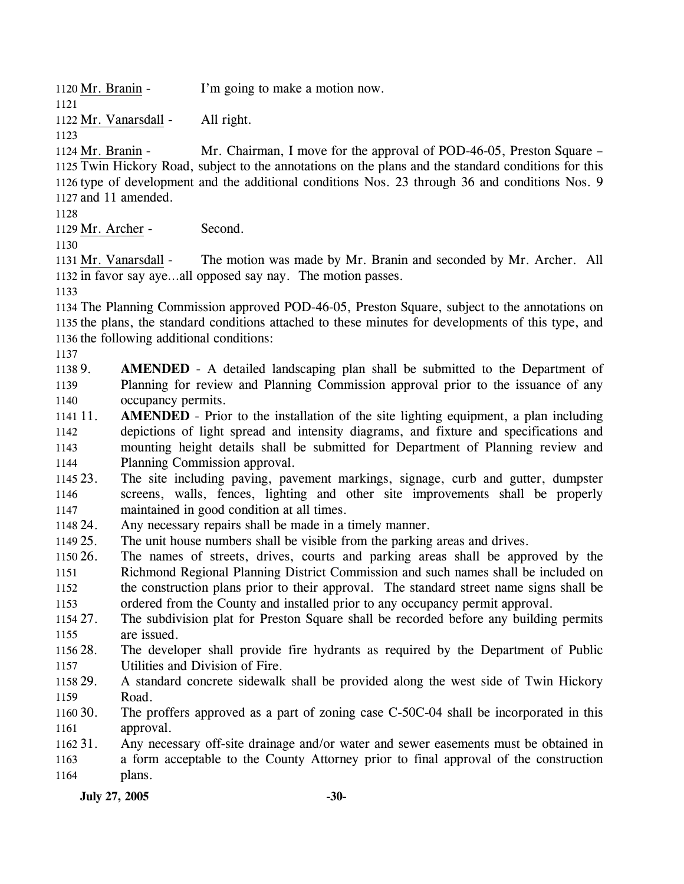1120 Mr. Branin - I'm going to make a motion now.

1122 Mr. Vanarsdall - All right.

1123

1121

Mr. Chairman, I move for the approval of POD-46-05, Preston Square – 1125 Twin Hickory Road, subject to the annotations on the plans and the standard conditions for this 1126 type of development and the additional conditions Nos. 23 through 36 and conditions Nos. 9 1127 and 11 amended. 1124 Mr. Branin -

1128

1129 Mr. Archer - Second.

1130

The motion was made by Mr. Branin and seconded by Mr. Archer. All 1132 in favor say aye...all opposed say nay. The motion passes. 1131 Mr. Vanarsdall -

1133

1134 The Planning Commission approved POD-46-05, Preston Square, subject to the annotations on 1135 the plans, the standard conditions attached to these minutes for developments of this type, and 1136 the following additional conditions:

1137

1138 9. 1139 1140 **AMENDED** - A detailed landscaping plan shall be submitted to the Department of Planning for review and Planning Commission approval prior to the issuance of any occupancy permits.

1141 11. 1142 1143 1144 **AMENDED** - Prior to the installation of the site lighting equipment, a plan including depictions of light spread and intensity diagrams, and fixture and specifications and mounting height details shall be submitted for Department of Planning review and Planning Commission approval.

1145 23. 1146 1147 The site including paving, pavement markings, signage, curb and gutter, dumpster screens, walls, fences, lighting and other site improvements shall be properly maintained in good condition at all times.

- 1148 24. Any necessary repairs shall be made in a timely manner.
- 1149 25. The unit house numbers shall be visible from the parking areas and drives.

1150 26. 1151 1152 1153 The names of streets, drives, courts and parking areas shall be approved by the Richmond Regional Planning District Commission and such names shall be included on the construction plans prior to their approval. The standard street name signs shall be ordered from the County and installed prior to any occupancy permit approval.

1154 27. 1155 The subdivision plat for Preston Square shall be recorded before any building permits are issued.

- 1156 28. 1157 The developer shall provide fire hydrants as required by the Department of Public Utilities and Division of Fire.
- 1158 29. 1159 A standard concrete sidewalk shall be provided along the west side of Twin Hickory Road.

1160 30. 1161 The proffers approved as a part of zoning case C-50C-04 shall be incorporated in this approval.

1162 31. 1163 1164 Any necessary off-site drainage and/or water and sewer easements must be obtained in a form acceptable to the County Attorney prior to final approval of the construction plans.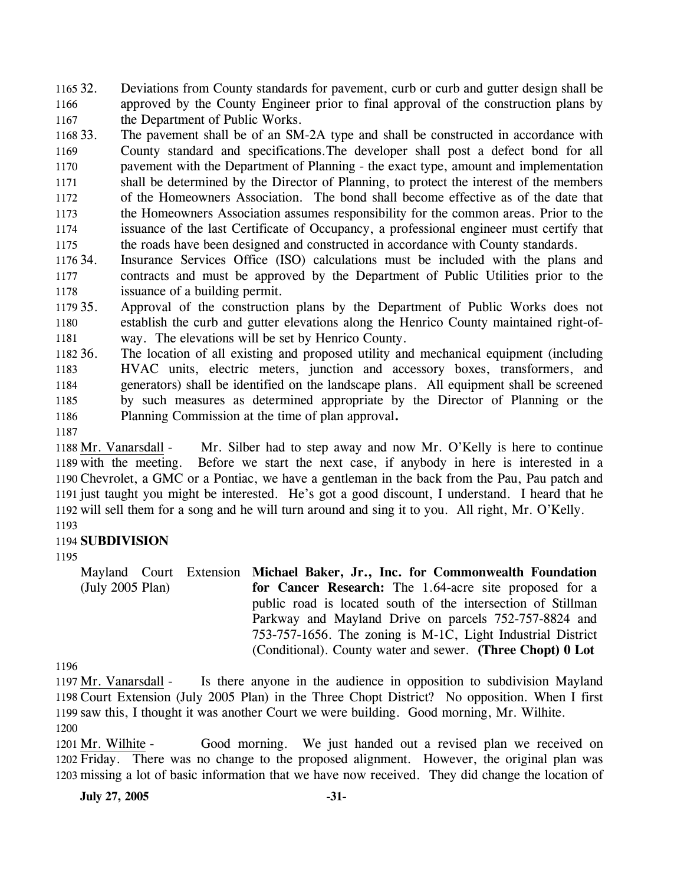1165 32. 1166 1167 Deviations from County standards for pavement, curb or curb and gutter design shall be approved by the County Engineer prior to final approval of the construction plans by the Department of Public Works.

1168 33. 1169 1170 1171 1172 1173 1174 1175 The pavement shall be of an SM-2A type and shall be constructed in accordance with County standard and specifications.The developer shall post a defect bond for all pavement with the Department of Planning - the exact type, amount and implementation shall be determined by the Director of Planning, to protect the interest of the members of the Homeowners Association. The bond shall become effective as of the date that the Homeowners Association assumes responsibility for the common areas. Prior to the issuance of the last Certificate of Occupancy, a professional engineer must certify that the roads have been designed and constructed in accordance with County standards.

1176 34. 1177 1178 Insurance Services Office (ISO) calculations must be included with the plans and contracts and must be approved by the Department of Public Utilities prior to the issuance of a building permit.

1179 35. 1180 1181 Approval of the construction plans by the Department of Public Works does not establish the curb and gutter elevations along the Henrico County maintained right-ofway. The elevations will be set by Henrico County.

1182 36. 1183 1184 1185 1186 The location of all existing and proposed utility and mechanical equipment (including HVAC units, electric meters, junction and accessory boxes, transformers, and generators) shall be identified on the landscape plans. All equipment shall be screened by such measures as determined appropriate by the Director of Planning or the Planning Commission at the time of plan approval**.**

1187

Mr. Silber had to step away and now Mr. O'Kelly is here to continue Before we start the next case, if anybody in here is interested in a 1190 Chevrolet, a GMC or a Pontiac, we have a gentleman in the back from the Pau, Pau patch and 1191 just taught you might be interested. He's got a good discount, I understand. I heard that he 1192 will sell them for a song and he will turn around and sing it to you. All right, Mr. O'Kelly. 1188 Mr. Vanarsdall -1189 with the meeting.

## 1193

### 1194 **SUBDIVISION**

1195

Mayland Court Extension **Michael Baker, Jr., Inc. for Commonwealth Foundation**  (July 2005 Plan) **for Cancer Research:** The 1.64-acre site proposed for a public road is located south of the intersection of Stillman Parkway and Mayland Drive on parcels 752-757-8824 and 753-757-1656. The zoning is M-1C, Light Industrial District

(Conditional). County water and sewer. **(Three Chopt) 0 Lot** 

1196

Is there anyone in the audience in opposition to subdivision Mayland 1198 Court Extension (July 2005 Plan) in the Three Chopt District? No opposition. When I first 1199 saw this, I thought it was another Court we were building. Good morning, Mr. Wilhite. 1197 Mr. Vanarsdall -1200

Good morning. We just handed out a revised plan we received on 1202 Friday. There was no change to the proposed alignment. However, the original plan was 1203 missing a lot of basic information that we have now received. They did change the location of 1201 Mr. Wilhite -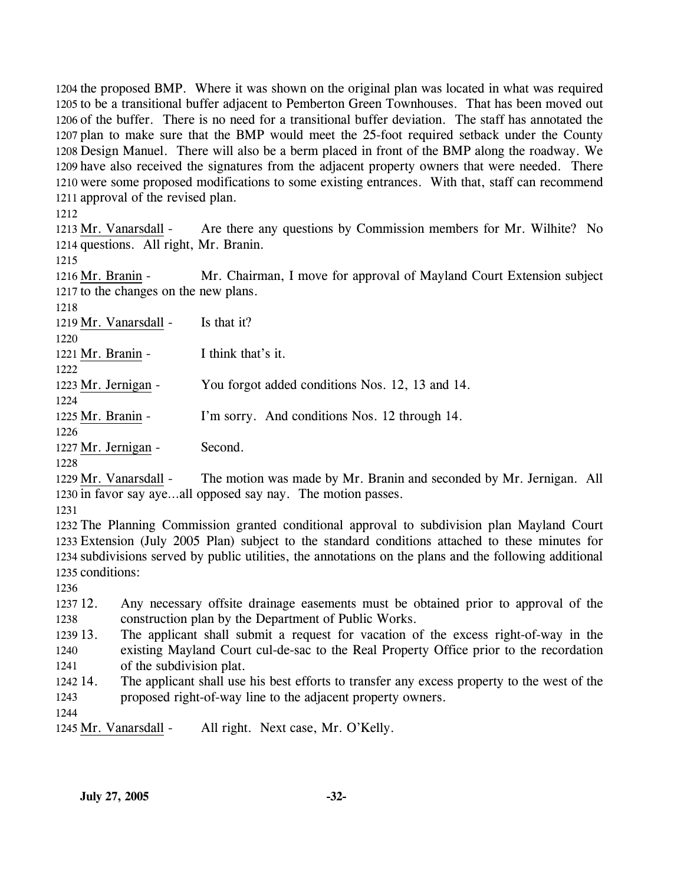the proposed BMP. Where it was shown on the original plan was located in what was required to be a transitional buffer adjacent to Pemberton Green Townhouses. That has been moved out of the buffer. There is no need for a transitional buffer deviation. The staff has annotated the plan to make sure that the BMP would meet the 25-foot required setback under the County Design Manuel. There will also be a berm placed in front of the BMP along the roadway. We have also received the signatures from the adjacent property owners that were needed. There were some proposed modifications to some existing entrances. With that, staff can recommend approval of the revised plan.

1212

Are there any questions by Commission members for Mr. Wilhite? No 1214 questions. All right, Mr. Branin. 1213 Mr. Vanarsdall -

1215

Mr. Chairman, I move for approval of Mayland Court Extension subject 1217 to the changes on the new plans. 1216 Mr. Branin -

1218

1219 Mr. Vanarsdall - Is that it?

1220

1222

1221 Mr. Branin - I think that's it.

1223 Mr. Jernigan - You forgot added conditions Nos. 12, 13 and 14.

1224

1225 Mr. Branin - I'm sorry. And conditions Nos. 12 through 14.

1226

1227 Mr. Jernigan - Second.

1228

The motion was made by Mr. Branin and seconded by Mr. Jernigan. All 1230 in favor say aye...all opposed say nay. The motion passes. 1229 Mr. Vanarsdall -

1231

 The Planning Commission granted conditional approval to subdivision plan Mayland Court Extension (July 2005 Plan) subject to the standard conditions attached to these minutes for subdivisions served by public utilities, the annotations on the plans and the following additional conditions:

1236

1237 12. 1238 12. Any necessary offsite drainage easements must be obtained prior to approval of the construction plan by the Department of Public Works.

1239 13. 1240 1241 The applicant shall submit a request for vacation of the excess right-of-way in the existing Mayland Court cul-de-sac to the Real Property Office prior to the recordation of the subdivision plat.

1242 14. 1243 The applicant shall use his best efforts to transfer any excess property to the west of the proposed right-of-way line to the adjacent property owners.

1244

1245 Mr. Vanarsdall - All right. Next case, Mr. O'Kelly.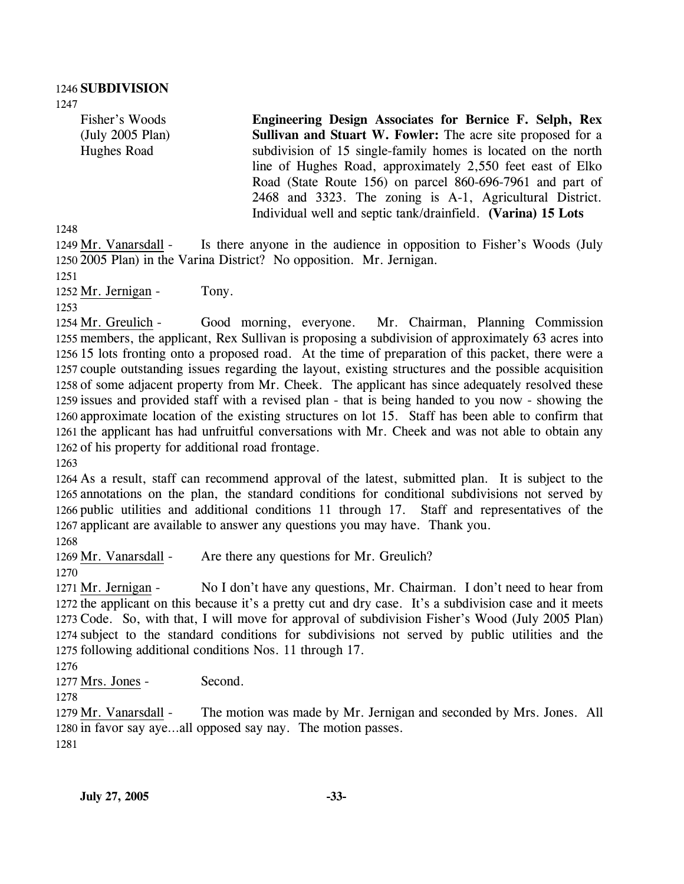Fisher's Woods (July 2005 Plan) Hughes Road

**Engineering Design Associates for Bernice F. Selph, Rex Sullivan and Stuart W. Fowler:** The acre site proposed for a subdivision of 15 single-family homes is located on the north line of Hughes Road, approximately 2,550 feet east of Elko Road (State Route 156) on parcel 860-696-7961 and part of 2468 and 3323. The zoning is A-1, Agricultural District. Individual well and septic tank/drainfield. **(Varina) 15 Lots** 

1248

Is there anyone in the audience in opposition to Fisher's Woods (July 2005 Plan) in the Varina District? No opposition. Mr. Jernigan. 1250 1249 Mr. Vanarsdall -

1251

1252 Mr. Jernigan - Tony.

1253

Good morning, everyone. Mr. Chairman, Planning Commission 1255 members, the applicant, Rex Sullivan is proposing a subdivision of approximately 63 acres into 1256 15 lots fronting onto a proposed road. At the time of preparation of this packet, there were a 1257 couple outstanding issues regarding the layout, existing structures and the possible acquisition 1258 of some adjacent property from Mr. Cheek. The applicant has since adequately resolved these 1259 issues and provided staff with a revised plan - that is being handed to you now - showing the 1260 approximate location of the existing structures on lot 15. Staff has been able to confirm that 1261 the applicant has had unfruitful conversations with Mr. Cheek and was not able to obtain any 1262 of his property for additional road frontage. 1254 Mr. Greulich -

1263

 As a result, staff can recommend approval of the latest, submitted plan. It is subject to the annotations on the plan, the standard conditions for conditional subdivisions not served by public utilities and additional conditions 11 through 17. Staff and representatives of the applicant are available to answer any questions you may have. Thank you. 1268

1269 Mr. Vanarsdall - Are there any questions for Mr. Greulich?

1270

No I don't have any questions, Mr. Chairman. I don't need to hear from 1272 the applicant on this because it's a pretty cut and dry case. It's a subdivision case and it meets 1273 Code. So, with that, I will move for approval of subdivision Fisher's Wood (July 2005 Plan) 1274 subject to the standard conditions for subdivisions not served by public utilities and the 1275 following additional conditions Nos. 11 through 17. 1271 Mr. Jernigan -

1276

1277 Mrs. Jones - Second.

1278

The motion was made by Mr. Jernigan and seconded by Mrs. Jones. All 1280 in favor say aye...all opposed say nay. The motion passes. 1279 Mr. Vanarsdall -

1281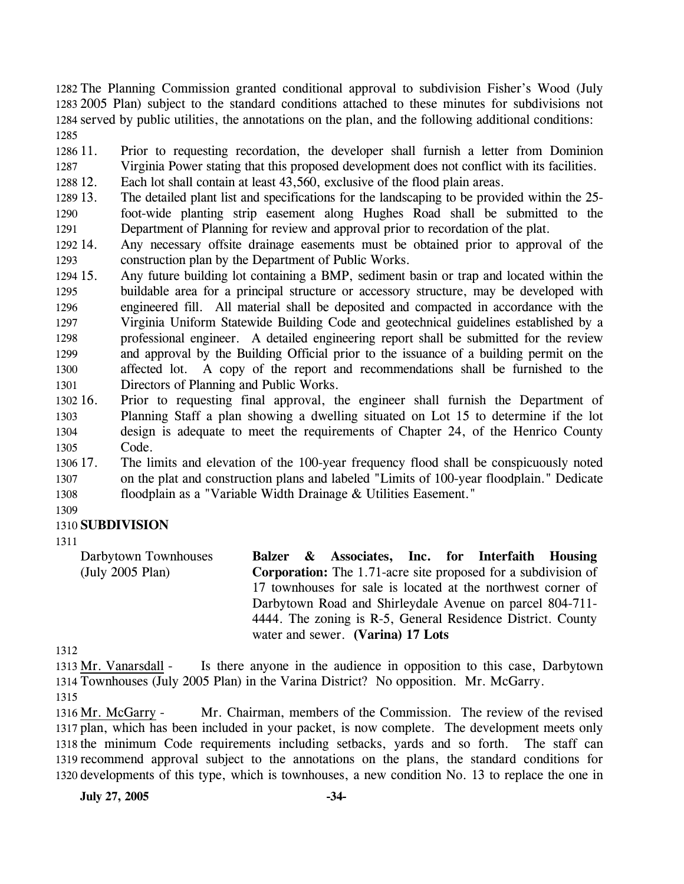The Planning Commission granted conditional approval to subdivision Fisher's Wood (July 2005 Plan) subject to the standard conditions attached to these minutes for subdivisions not served by public utilities, the annotations on the plan, and the following additional conditions: 1285

1286 11 1287 Prior to requesting recordation, the developer shall furnish a letter from Dominion Virginia Power stating that this proposed development does not conflict with its facilities.

1288 12. Each lot shall contain at least 43,560, exclusive of the flood plain areas.

- 1289 13. 1290 1291 13. The detailed plant list and specifications for the landscaping to be provided within the 25 foot-wide planting strip easement along Hughes Road shall be submitted to the Department of Planning for review and approval prior to recordation of the plat.
- 1292 14. 1293 Any necessary offsite drainage easements must be obtained prior to approval of the construction plan by the Department of Public Works.
- 1294 15. 1295 1296 1297 1298 1299 1300 1301 Any future building lot containing a BMP, sediment basin or trap and located within the buildable area for a principal structure or accessory structure, may be developed with engineered fill. All material shall be deposited and compacted in accordance with the Virginia Uniform Statewide Building Code and geotechnical guidelines established by a professional engineer. A detailed engineering report shall be submitted for the review and approval by the Building Official prior to the issuance of a building permit on the affected lot. A copy of the report and recommendations shall be furnished to the Directors of Planning and Public Works.
- 1302 16. 1303 1304 1305 16. Prior to requesting final approval, the engineer shall furnish the Department of Planning Staff a plan showing a dwelling situated on Lot 15 to determine if the lot design is adequate to meet the requirements of Chapter 24, of the Henrico County Code.
- 1306 17. 1307 1308 The limits and elevation of the 100-year frequency flood shall be conspicuously noted on the plat and construction plans and labeled "Limits of 100-year floodplain." Dedicate floodplain as a "Variable Width Drainage & Utilities Easement."

1309

## 1310 **SUBDIVISION**

1311

Darbytown Townhouses (July 2005 Plan) **Balzer & Associates, Inc. for Interfaith Housing Corporation:** The 1.71-acre site proposed for a subdivision of 17 townhouses for sale is located at the northwest corner of Darbytown Road and Shirleydale Avenue on parcel 804-711- 4444. The zoning is R-5, General Residence District. County water and sewer. **(Varina) 17 Lots** 

1312

Is there anyone in the audience in opposition to this case, Darbytown 1314 Townhouses (July 2005 Plan) in the Varina District? No opposition. Mr. McGarry. 1313 Mr. Vanarsdall -1315

Mr. Chairman, members of the Commission. The review of the revised 1317 plan, which has been included in your packet, is now complete. The development meets only 1318 the minimum Code requirements including setbacks, yards and so forth. The staff can 1319 recommend approval subject to the annotations on the plans, the standard conditions for 1320 developments of this type, which is townhouses, a new condition No. 13 to replace the one in 1316 Mr. McGarry -

**July 27, 2005 -34-**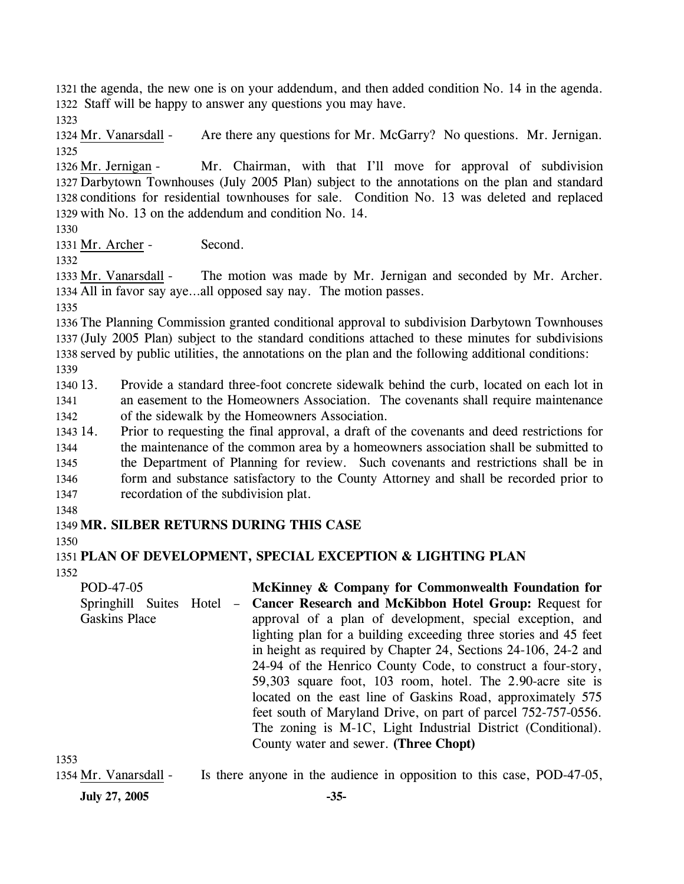1321 the agenda, the new one is on your addendum, and then added condition No. 14 in the agenda. 1322 Staff will be happy to answer any questions you may have.

1323

1324 Mr. Vanarsdall - Are there any questions for Mr. McGarry? No questions. Mr. Jernigan. 1325

Mr. Chairman, with that I'll move for approval of subdivision 1327 Darbytown Townhouses (July 2005 Plan) subject to the annotations on the plan and standard 1328 conditions for residential townhouses for sale. Condition No. 13 was deleted and replaced 1329 with No. 13 on the addendum and condition No. 14. 1326 Mr. Jernigan -

1330

1331 Mr. Archer - Second.

1332

The motion was made by Mr. Jernigan and seconded by Mr. Archer. 1334 All in favor say aye...all opposed say nay. The motion passes. 1333 Mr. Vanarsdall -

1335

1336 The Planning Commission granted conditional approval to subdivision Darbytown Townhouses 1337 (July 2005 Plan) subject to the standard conditions attached to these minutes for subdivisions 1338 served by public utilities, the annotations on the plan and the following additional conditions:

1339

1340 13. 1341 1342 13. Provide a standard three-foot concrete sidewalk behind the curb, located on each lot in an easement to the Homeowners Association. The covenants shall require maintenance of the sidewalk by the Homeowners Association.

1343 14. 1344 1345 1346 1347 14. Prior to requesting the final approval, a draft of the covenants and deed restrictions for the maintenance of the common area by a homeowners association shall be submitted to the Department of Planning for review. Such covenants and restrictions shall be in form and substance satisfactory to the County Attorney and shall be recorded prior to recordation of the subdivision plat.

1348

# 1349 **MR. SILBER RETURNS DURING THIS CASE**

1350

## 1351 **PLAN OF DEVELOPMENT, SPECIAL EXCEPTION & LIGHTING PLAN**

1352

POD-47-05 Springhill Suites Hotel – Gaskins Place **McKinney & Company for Commonwealth Foundation for Cancer Research and McKibbon Hotel Group:** Request for approval of a plan of development, special exception, and lighting plan for a building exceeding three stories and 45 feet in height as required by Chapter 24, Sections 24-106, 24-2 and 24-94 of the Henrico County Code, to construct a four-story, 59,303 square foot, 103 room, hotel. The 2.90-acre site is located on the east line of Gaskins Road, approximately 575 feet south of Maryland Drive, on part of parcel 752-757-0556. The zoning is M-1C, Light Industrial District (Conditional). County water and sewer. **(Three Chopt)** 

1353

1354 Mr. Vanarsdall - Is there anyone in the audience in opposition to this case, POD-47-05,

**July 27, 2005 -35-**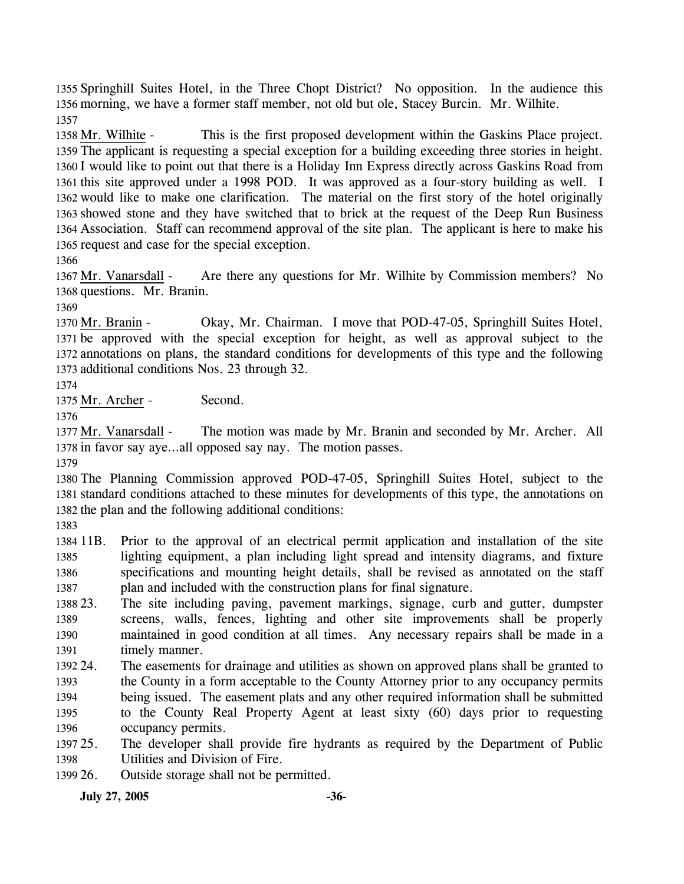1355 Springhill Suites Hotel, in the Three Chopt District? No opposition. In the audience this 1356 morning, we have a former staff member, not old but ole, Stacey Burcin. Mr. Wilhite. 1357

This is the first proposed development within the Gaskins Place project. 1359 The applicant is requesting a special exception for a building exceeding three stories in height. 1360 I would like to point out that there is a Holiday Inn Express directly across Gaskins Road from 1361 this site approved under a 1998 POD. It was approved as a four-story building as well. I 1362 would like to make one clarification. The material on the first story of the hotel originally 1363 showed stone and they have switched that to brick at the request of the Deep Run Business Association. Staff can recommend approval of the site plan. The applicant is here to make his 1364 1365 request and case for the special exception. 1358 Mr. Wilhite -

1366

Are there any questions for Mr. Wilhite by Commission members? No 1368 questions. Mr. Branin. 1367 Mr. Vanarsdall -

1369

Okay, Mr. Chairman. I move that POD-47-05, Springhill Suites Hotel, 1371 be approved with the special exception for height, as well as approval subject to the 1372 annotations on plans, the standard conditions for developments of this type and the following 1373 additional conditions Nos. 23 through 32. 1370 Mr. Branin -

#### 1374

1375 Mr. Archer - Second.

1376

The motion was made by Mr. Branin and seconded by Mr. Archer. All 1378 in favor say aye...all opposed say nay. The motion passes. 1377 Mr. Vanarsdall -

1379

1380 The Planning Commission approved POD-47-05, Springhill Suites Hotel, subject to the 1381 standard conditions attached to these minutes for developments of this type, the annotations on 1382 the plan and the following additional conditions:

1383

1384 11B. 1385 1386 1387 11B. Prior to the approval of an electrical permit application and installation of the site lighting equipment, a plan including light spread and intensity diagrams, and fixture specifications and mounting height details, shall be revised as annotated on the staff plan and included with the construction plans for final signature.

1388 23. 1389 1390 1391 The site including paving, pavement markings, signage, curb and gutter, dumpster screens, walls, fences, lighting and other site improvements shall be properly maintained in good condition at all times. Any necessary repairs shall be made in a timely manner.

1392 24. 1393 1394 1395 1396 24. The easements for drainage and utilities as shown on approved plans shall be granted to the County in a form acceptable to the County Attorney prior to any occupancy permits being issued. The easement plats and any other required information shall be submitted to the County Real Property Agent at least sixty (60) days prior to requesting occupancy permits.

1397 25. 1398 The developer shall provide fire hydrants as required by the Department of Public Utilities and Division of Fire.

1399 26. Outside storage shall not be permitted.

**July 27, 2005 -36-**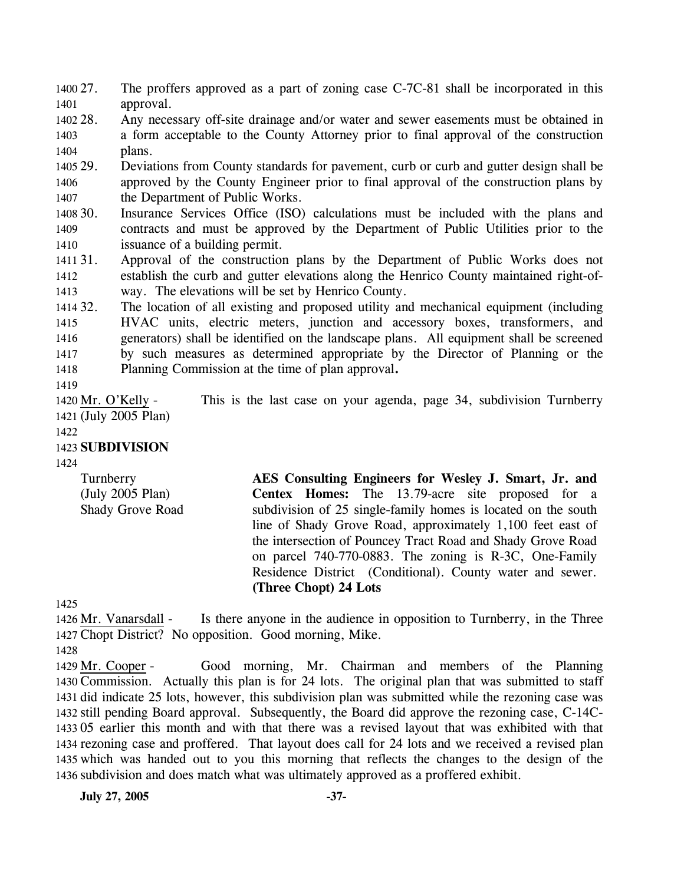1400 27. 1401 The proffers approved as a part of zoning case C-7C-81 shall be incorporated in this approval.

1402 28. 1403 1404 Any necessary off-site drainage and/or water and sewer easements must be obtained in a form acceptable to the County Attorney prior to final approval of the construction plans.

1405 29. 1406 1407 29. Deviations from County standards for pavement, curb or curb and gutter design shall be approved by the County Engineer prior to final approval of the construction plans by the Department of Public Works.

1408 30. 1409 1410 Insurance Services Office (ISO) calculations must be included with the plans and contracts and must be approved by the Department of Public Utilities prior to the issuance of a building permit.

1411 31. 1412 1413 Approval of the construction plans by the Department of Public Works does not establish the curb and gutter elevations along the Henrico County maintained right-ofway. The elevations will be set by Henrico County.

1414 32. 1415 1416 1417 1418 The location of all existing and proposed utility and mechanical equipment (including HVAC units, electric meters, junction and accessory boxes, transformers, and generators) shall be identified on the landscape plans. All equipment shall be screened by such measures as determined appropriate by the Director of Planning or the Planning Commission at the time of plan approval**.**

1419

This is the last case on your agenda, page 34, subdivision Turnberry (July 2005 Plan) 1421 1420 Mr. O'Kelly -

1422

1423 **SUBDIVISION** 

1424

**Turnberry** (July 2005 Plan) Shady Grove Road **AES Consulting Engineers for Wesley J. Smart, Jr. and Centex Homes:** The 13.79-acre site proposed for a subdivision of 25 single-family homes is located on the south line of Shady Grove Road, approximately 1,100 feet east of the intersection of Pouncey Tract Road and Shady Grove Road on parcel 740-770-0883. The zoning is R-3C, One-Family Residence District (Conditional). County water and sewer. **(Three Chopt) 24 Lots** 

1425

Is there anyone in the audience in opposition to Turnberry, in the Three 1427 Chopt District? No opposition. Good morning, Mike. 1426 Mr. Vanarsdall -

1428

Good morning, Mr. Chairman and members of the Planning 1430 Commission. Actually this plan is for 24 lots. The original plan that was submitted to staff 1431 did indicate 25 lots, however, this subdivision plan was submitted while the rezoning case was 1432 still pending Board approval. Subsequently, the Board did approve the rezoning case, C-14C-05 earlier this month and with that there was a revised layout that was exhibited with that 1433 1434 rezoning case and proffered. That layout does call for 24 lots and we received a revised plan 1435 which was handed out to you this morning that reflects the changes to the design of the 1436 subdivision and does match what was ultimately approved as a proffered exhibit. 1429 Mr. Cooper -

**July 27, 2005 -37-**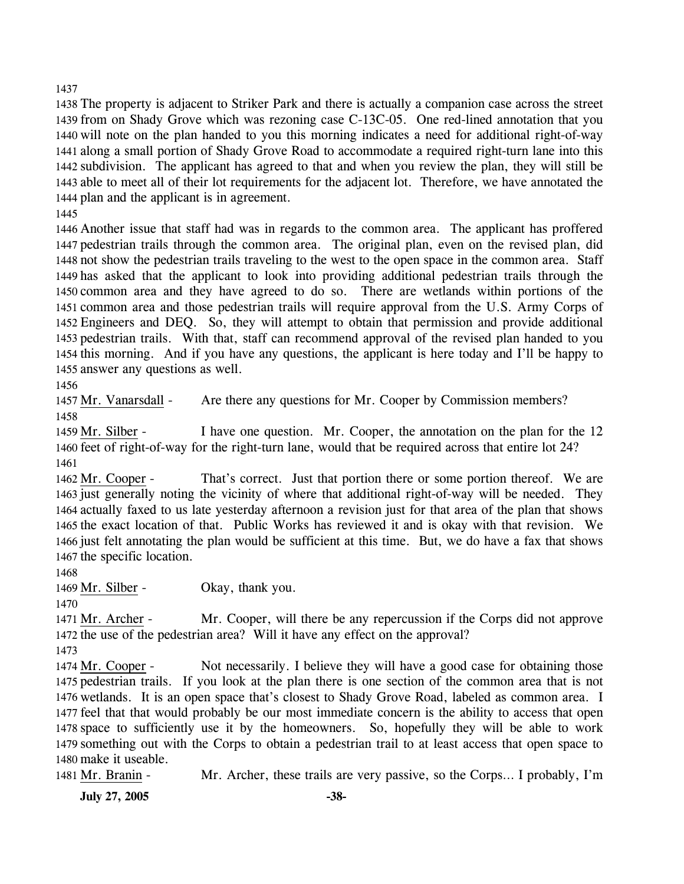1437

 The property is adjacent to Striker Park and there is actually a companion case across the street from on Shady Grove which was rezoning case C-13C-05. One red-lined annotation that you will note on the plan handed to you this morning indicates a need for additional right-of-way along a small portion of Shady Grove Road to accommodate a required right-turn lane into this subdivision. The applicant has agreed to that and when you review the plan, they will still be able to meet all of their lot requirements for the adjacent lot. Therefore, we have annotated the plan and the applicant is in agreement.

1445

 Another issue that staff had was in regards to the common area. The applicant has proffered pedestrian trails through the common area. The original plan, even on the revised plan, did not show the pedestrian trails traveling to the west to the open space in the common area. Staff has asked that the applicant to look into providing additional pedestrian trails through the common area and they have agreed to do so. There are wetlands within portions of the common area and those pedestrian trails will require approval from the U.S. Army Corps of Engineers and DEQ. So, they will attempt to obtain that permission and provide additional pedestrian trails. With that, staff can recommend approval of the revised plan handed to you this morning. And if you have any questions, the applicant is here today and I'll be happy to answer any questions as well.

1456

1457 Mr. Vanarsdall - Are there any questions for Mr. Cooper by Commission members? 1458

I have one question. Mr. Cooper, the annotation on the plan for the 12 1460 feet of right-of-way for the right-turn lane, would that be required across that entire lot 24? 1459 Mr. Silber -1461

That's correct. Just that portion there or some portion thereof. We are 1463 just generally noting the vicinity of where that additional right-of-way will be needed. They 1464 actually faxed to us late yesterday afternoon a revision just for that area of the plan that shows 1465 the exact location of that. Public Works has reviewed it and is okay with that revision. We 1466 just felt annotating the plan would be sufficient at this time. But, we do have a fax that shows 1467 the specific location. 1462 Mr. Cooper -

1468

1469 Mr. Silber - Okay, thank you.

1470

Mr. Cooper, will there be any repercussion if the Corps did not approve 1472 the use of the pedestrian area? Will it have any effect on the approval? 1471 Mr. Archer -

1473

Not necessarily. I believe they will have a good case for obtaining those 1475 pedestrian trails. If you look at the plan there is one section of the common area that is not 1476 wetlands. It is an open space that's closest to Shady Grove Road, labeled as common area. I 1477 feel that that would probably be our most immediate concern is the ability to access that open 1478 space to sufficiently use it by the homeowners. So, hopefully they will be able to work 1479 something out with the Corps to obtain a pedestrian trail to at least access that open space to 1480 make it useable. 1474 Mr. Cooper -

1481 Mr. Branin - Mr. Archer, these trails are very passive, so the Corps… I probably, I'm

**July 27, 2005 -38-**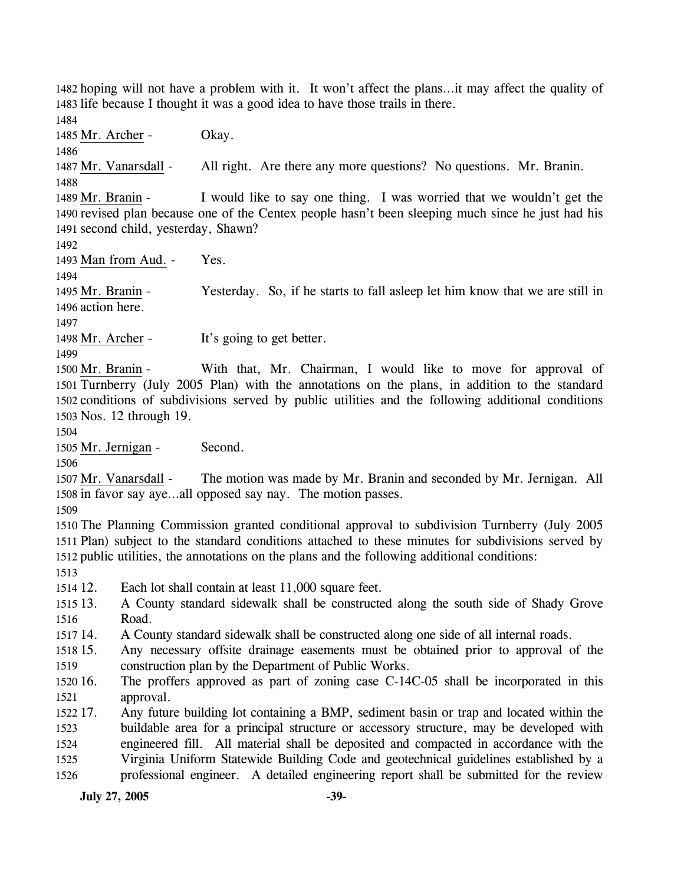1482 hoping will not have a problem with it. It won't affect the plans…it may affect the quality of 1483 life because I thought it was a good idea to have those trails in there.

1484

1485 Mr. Archer - Okay.

1486

1487 Mr. Vanarsdall - All right. Are there any more questions? No questions. Mr. Branin.

1488

I would like to say one thing. I was worried that we wouldn't get the 1490 revised plan because one of the Centex people hasn't been sleeping much since he just had his 1491 second child, yesterday, Shawn? 1489 Mr. Branin -

1492

1493 Man from Aud. - Yes.

1494

Yesterday. So, if he starts to fall asleep let him know that we are still in 1496 action here. 1495 Mr. Branin -

1497

1498 Mr. Archer - It's going to get better.

1499

With that, Mr. Chairman, I would like to move for approval of 1501 Turnberry (July 2005 Plan) with the annotations on the plans, in addition to the standard 1502 conditions of subdivisions served by public utilities and the following additional conditions 1503 Nos. 12 through 19. 1500 Mr. Branin -

1504

1505 Mr. Jernigan - Second.

1506

The motion was made by Mr. Branin and seconded by Mr. Jernigan. All 1508 in favor say aye...all opposed say nay. The motion passes. 1507 Mr. Vanarsdall -

1509

1510 The Planning Commission granted conditional approval to subdivision Turnberry (July 2005 1511 Plan) subject to the standard conditions attached to these minutes for subdivisions served by 1512 public utilities, the annotations on the plans and the following additional conditions:

1513

 $151412$ Each lot shall contain at least 11,000 square feet.

1515 13. 1516 13. A County standard sidewalk shall be constructed along the south side of Shady Grove Road.

1517 14. 14. A County standard sidewalk shall be constructed along one side of all internal roads.

1518 15. 1519 Any necessary offsite drainage easements must be obtained prior to approval of the construction plan by the Department of Public Works.

1520 16. 1521 The proffers approved as part of zoning case C-14C-05 shall be incorporated in this approval.

1522 17. 1523 1524 1525 1526 Any future building lot containing a BMP, sediment basin or trap and located within the buildable area for a principal structure or accessory structure, may be developed with engineered fill. All material shall be deposited and compacted in accordance with the Virginia Uniform Statewide Building Code and geotechnical guidelines established by a professional engineer. A detailed engineering report shall be submitted for the review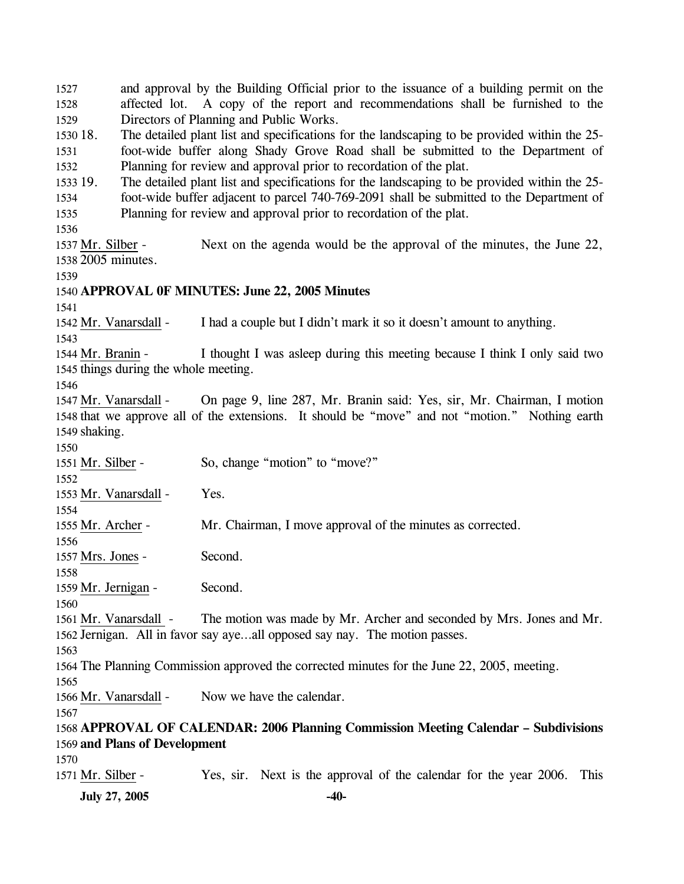**July 27, 2005** -40-1527 1528 1529 1530 18. 1531 1532 1533 19. 1534 1535 1536 and approval by the Building Official prior to the issuance of a building permit on the affected lot. A copy of the report and recommendations shall be furnished to the Directors of Planning and Public Works. The detailed plant list and specifications for the landscaping to be provided within the 25foot-wide buffer along Shady Grove Road shall be submitted to the Department of Planning for review and approval prior to recordation of the plat. The detailed plant list and specifications for the landscaping to be provided within the 25foot-wide buffer adjacent to parcel 740-769-2091 shall be submitted to the Department of Planning for review and approval prior to recordation of the plat. Next on the agenda would be the approval of the minutes, the June 22, 2005 minutes. 1538 1537 Mr. Silber -1539 1540 **APPROVAL 0F MINUTES: June 22, 2005 Minutes**  1541 1542 Mr. Vanarsdall - I had a couple but I didn't mark it so it doesn't amount to anything. 1543 I thought I was asleep during this meeting because I think I only said two 1545 things during the whole meeting. 1544 Mr. Branin -1546 On page 9, line 287, Mr. Branin said: Yes, sir, Mr. Chairman, I motion 1548 that we approve all of the extensions. It should be "move" and not "motion." Nothing earth 1549 shaking. 1547 Mr. Vanarsdall -1550 1551 Mr. Silber - So, change "motion" to "move?" 1552 1553 Mr. Vanarsdall - Yes. 1554 1555 Mr. Archer - Mr. Chairman, I move approval of the minutes as corrected. 1556 1557 Mrs. Jones - Second. 1558 1559 Mr. Jernigan - Second. 1560 The motion was made by Mr. Archer and seconded by Mrs. Jones and Mr. 1562 Jernigan. All in favor say aye...all opposed say nay. The motion passes. 1561 Mr. Vanarsdall -1563 1564 The Planning Commission approved the corrected minutes for the June 22, 2005, meeting. 1565 1566 Mr. Vanarsdall - Now we have the calendar. 1567 1568 **APPROVAL OF CALENDAR: 2006 Planning Commission Meeting Calendar – Subdivisions**  1569 **and Plans of Development**  1570 1571 Mr. Silber - Yes, sir. Next is the approval of the calendar for the year 2006. This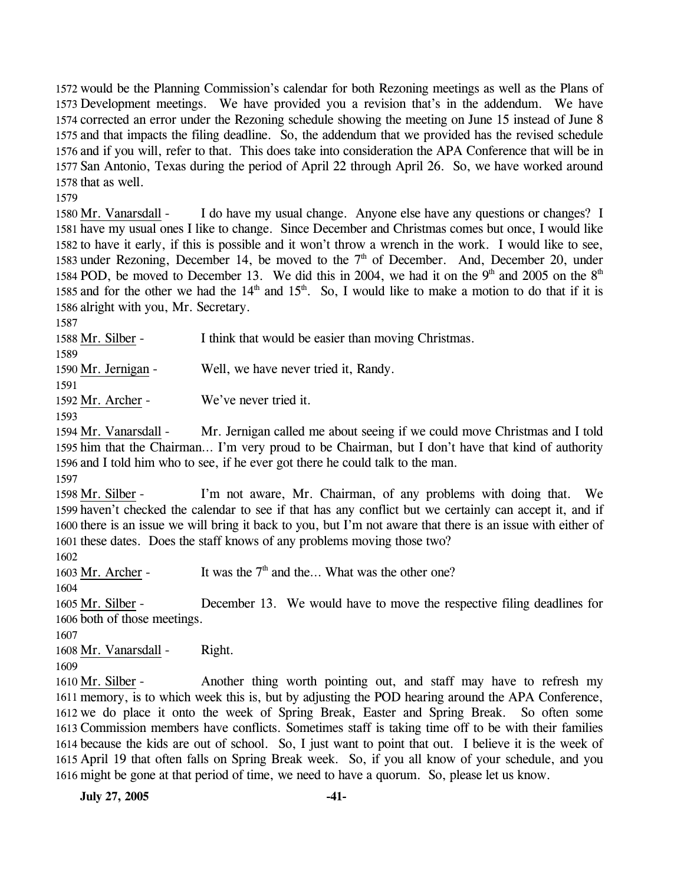would be the Planning Commission's calendar for both Rezoning meetings as well as the Plans of Development meetings. We have provided you a revision that's in the addendum. We have corrected an error under the Rezoning schedule showing the meeting on June 15 instead of June 8 and that impacts the filing deadline. So, the addendum that we provided has the revised schedule and if you will, refer to that. This does take into consideration the APA Conference that will be in San Antonio, Texas during the period of April 22 through April 26. So, we have worked around that as well.

1579

I do have my usual change. Anyone else have any questions or changes? I 1581 have my usual ones I like to change. Since December and Christmas comes but once, I would like 1582 to have it early, if this is possible and it won't throw a wrench in the work. I would like to see, 1583 under Rezoning, December 14, be moved to the  $7<sup>th</sup>$  of December. And, December 20, under 1580 Mr. Vanarsdall -1584 POD, be moved to December 13. We did this in 2004, we had it on the 9<sup>th</sup> and 2005 on the 8<sup>th</sup> 1585 and for the other we had the  $14<sup>th</sup>$  and  $15<sup>th</sup>$ . So, I would like to make a motion to do that if it is 1586 alright with you, Mr. Secretary.

1587

1588 Mr. Silber - I think that would be easier than moving Christmas. 1589 1590 Mr. Jernigan - Well, we have never tried it, Randy. 1591

1592 Mr. Archer - We've never tried it.

1593

Mr. Jernigan called me about seeing if we could move Christmas and I told 1595 him that the Chairman... I'm very proud to be Chairman, but I don't have that kind of authority 1596 and I told him who to see, if he ever got there he could talk to the man. 1594 Mr. Vanarsdall -

1597

I'm not aware, Mr. Chairman, of any problems with doing that. We 1599 haven't checked the calendar to see if that has any conflict but we certainly can accept it, and if 1600 there is an issue we will bring it back to you, but I'm not aware that there is an issue with either of 1601 these dates. Does the staff knows of any problems moving those two? 1598 Mr. Silber -

1602

1603 Mr. Archer - It was the  $7<sup>th</sup>$  and the... What was the other one?

1604

December 13. We would have to move the respective filing deadlines for 1606 both of those meetings. 1605 Mr. Silber -

1607

1608 Mr. Vanarsdall - Right.

1609

Another thing worth pointing out, and staff may have to refresh my 1611 memory, is to which week this is, but by adjusting the POD hearing around the APA Conference, 1612 we do place it onto the week of Spring Break, Easter and Spring Break. So often some 1613 Commission members have conflicts. Sometimes staff is taking time off to be with their families 1614 because the kids are out of school. So, I just want to point that out. I believe it is the week of 1615 April 19 that often falls on Spring Break week. So, if you all know of your schedule, and you 1616 might be gone at that period of time, we need to have a quorum. So, please let us know. 1610 Mr. Silber -

**July 27, 2005 -41-**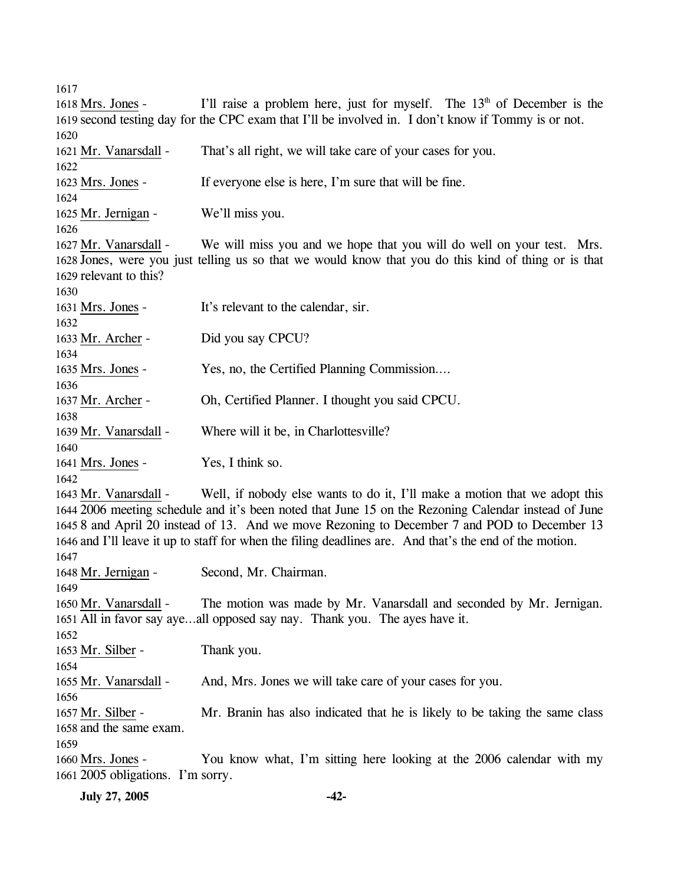1617 I'll raise a problem here, just for myself. The  $13<sup>th</sup>$  of December is the 1619 second testing day for the CPC exam that I'll be involved in. I don't know if Tommy is or not. 1618 Mrs. Jones -1620 1621 Mr. Vanarsdall - That's all right, we will take care of your cases for you. 1622 1623 Mrs. Jones - If everyone else is here, I'm sure that will be fine. 1624 1625 Mr. Jernigan - We'll miss you. 1626 We will miss you and we hope that you will do well on your test. Mrs. 1628 Jones, were you just telling us so that we would know that you do this kind of thing or is that 1629 relevant to this? 1627 Mr. Vanarsdall -1630 1631 Mrs. Jones - It's relevant to the calendar, sir. 1632 1633 Mr. Archer - Did you say CPCU? 1634 1635 Mrs. Jones - Yes, no, the Certified Planning Commission…. 1636 1637 Mr. Archer - Oh, Certified Planner. I thought you said CPCU. 1638 1639 Mr. Vanarsdall - Where will it be, in Charlottesville? 1640 1641 Mrs. Jones - Yes, I think so. 1642 Well, if nobody else wants to do it, I'll make a motion that we adopt this 2006 meeting schedule and it's been noted that June 15 on the Rezoning Calendar instead of June 1644 1645 8 and April 20 instead of 13. And we move Rezoning to December 7 and POD to December 13 1646 and I'll leave it up to staff for when the filing deadlines are. And that's the end of the motion. 1643 Mr. Vanarsdall -1647 1648 Mr. Jernigan - Second, Mr. Chairman. 1649 The motion was made by Mr. Vanarsdall and seconded by Mr. Jernigan. 1651 All in favor say aye...all opposed say nay. Thank you. The ayes have it. 1650 Mr. Vanarsdall -1652 1653 Mr. Silber - Thank you. 1654 1655 Mr. Vanarsdall - And, Mrs. Jones we will take care of your cases for you. 1656 Mr. Branin has also indicated that he is likely to be taking the same class 1658 and the same exam. 1657 Mr. Silber -1659 You know what, I'm sitting here looking at the 2006 calendar with my 2005 obligations. I'm sorry. 1661 1660 Mrs. Jones -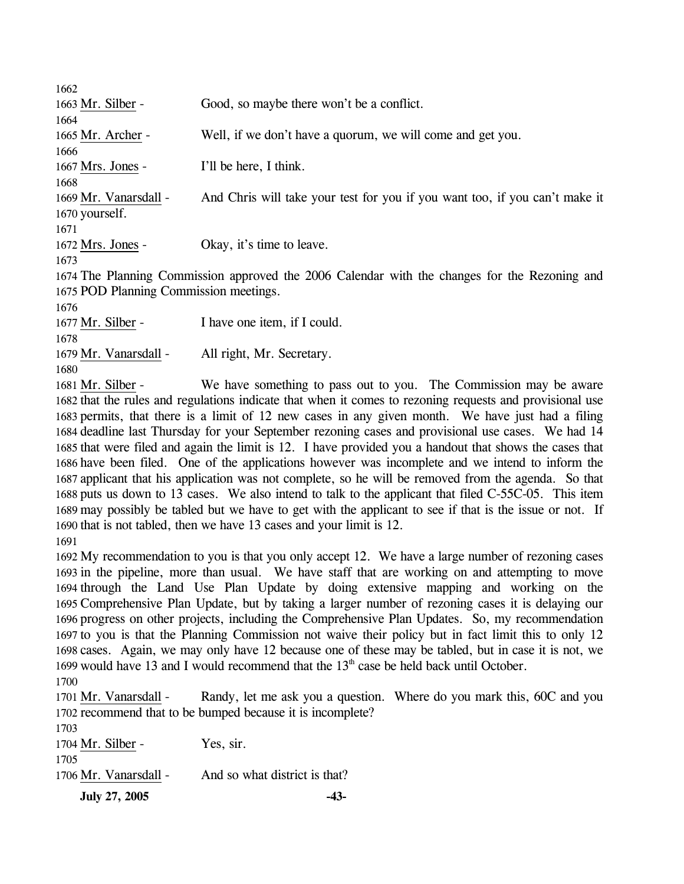| 1662                                   |                                                                                               |
|----------------------------------------|-----------------------------------------------------------------------------------------------|
| 1663 Mr. Silber -                      | Good, so maybe there won't be a conflict.                                                     |
| 1664                                   |                                                                                               |
| 1665 Mr. Archer -                      | Well, if we don't have a quorum, we will come and get you.                                    |
| 1666                                   |                                                                                               |
| 1667 Mrs. Jones -                      | I'll be here, I think.                                                                        |
| 1668                                   |                                                                                               |
| 1669 Mr. Vanarsdall -                  | And Chris will take your test for you if you want too, if you can't make it                   |
| 1670 yourself.                         |                                                                                               |
| 1671                                   |                                                                                               |
| 1672 Mrs. Jones -                      | Okay, it's time to leave.                                                                     |
| 1673                                   |                                                                                               |
|                                        | 1674 The Planning Commission approved the 2006 Calendar with the changes for the Rezoning and |
| 1675 POD Planning Commission meetings. |                                                                                               |
| 1676                                   |                                                                                               |
| 1677 Mr. Silber -                      | I have one item, if I could.                                                                  |
| 1678                                   |                                                                                               |
| 1679 Mr. Vanarsdall -                  | All right, Mr. Secretary.                                                                     |
| 1680                                   |                                                                                               |
| 1681 Mr. Silber -                      | We have something to pass out to you. The Commission may be aware                             |
|                                        |                                                                                               |

1682 that the rules and regulations indicate that when it comes to rezoning requests and provisional use 1683 permits, that there is a limit of 12 new cases in any given month. We have just had a filing 1684 deadline last Thursday for your September rezoning cases and provisional use cases. We had 14 1685 that were filed and again the limit is 12. I have provided you a handout that shows the cases that 1686 have been filed. One of the applications however was incomplete and we intend to inform the 1687 applicant that his application was not complete, so he will be removed from the agenda. So that 1688 puts us down to 13 cases. We also intend to talk to the applicant that filed C-55C-05. This item 1689 may possibly be tabled but we have to get with the applicant to see if that is the issue or not. If 1690 that is not tabled, then we have 13 cases and your limit is 12. 1691

 My recommendation to you is that you only accept 12. We have a large number of rezoning cases in the pipeline, more than usual. We have staff that are working on and attempting to move through the Land Use Plan Update by doing extensive mapping and working on the Comprehensive Plan Update, but by taking a larger number of rezoning cases it is delaying our progress on other projects, including the Comprehensive Plan Updates. So, my recommendation to you is that the Planning Commission not waive their policy but in fact limit this to only 12 cases. Again, we may only have 12 because one of these may be tabled, but in case it is not, we 1699 would have 13 and I would recommend that the  $13<sup>th</sup>$  case be held back until October.

1700

Randy, let me ask you a question. Where do you mark this, 60C and you 1702 recommend that to be bumped because it is incomplete? 1701 Mr. Vanarsdall -

| July 27, 2005         |                               |
|-----------------------|-------------------------------|
| 1706 Mr. Vanarsdall - | And so what district is that? |
| 1705                  |                               |
| 1704 Mr. Silber -     | Yes, sir.                     |
| 1703                  |                               |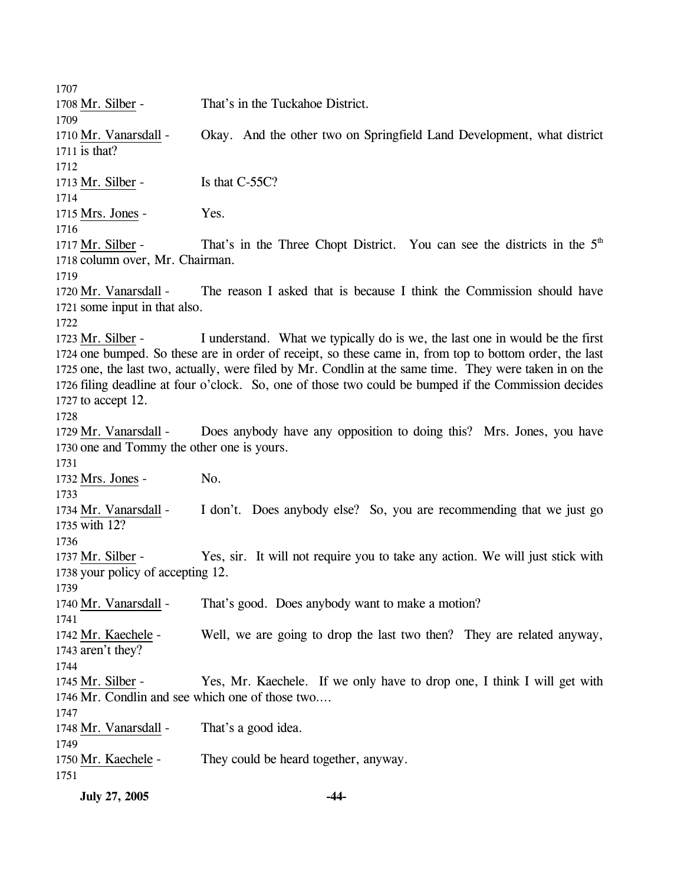1707 1708 Mr. Silber - That's in the Tuckahoe District. 1709 Okay. And the other two on Springfield Land Development, what district 1711 is that? 1710 Mr. Vanarsdall -1712 1713 Mr. Silber - Is that C-55C? 1714 1715 Mrs. Jones - Yes. 1716 That's in the Three Chopt District. You can see the districts in the  $5<sup>th</sup>$ 1718 column over, Mr. Chairman. 1717 Mr. Silber -1719 The reason I asked that is because I think the Commission should have 1721 some input in that also. 1720 Mr. Vanarsdall -1722 I understand. What we typically do is we, the last one in would be the first 1724 one bumped. So these are in order of receipt, so these came in, from top to bottom order, the last 1725 one, the last two, actually, were filed by Mr. Condlin at the same time. They were taken in on the 1726 filing deadline at four o'clock. So, one of those two could be bumped if the Commission decides 1727 to accept  $12$ . 1723 Mr. Silber -1728 Does anybody have any opposition to doing this? Mrs. Jones, you have 1730 one and Tommy the other one is yours. 1729 Mr. Vanarsdall -1731 1732 Mrs. Jones - No. 1733 I don't. Does anybody else? So, you are recommending that we just go with 12? 1735 1734 Mr. Vanarsdall -1736 Yes, sir. It will not require you to take any action. We will just stick with 1738 your policy of accepting 12. 1737 Mr. Silber -1739 1740 Mr. Vanarsdall - That's good. Does anybody want to make a motion? 1741 Well, we are going to drop the last two then? They are related anyway, 1743 aren't they? 1742 Mr. Kaechele -1744 Yes, Mr. Kaechele. If we only have to drop one, I think I will get with 1746 Mr. Condlin and see which one of those two.... 1745 Mr. Silber -1747 1748 Mr. Vanarsdall - That's a good idea. 1749 1750 Mr. Kaechele - They could be heard together, anyway. 1751

**July 27, 2005 -44-**